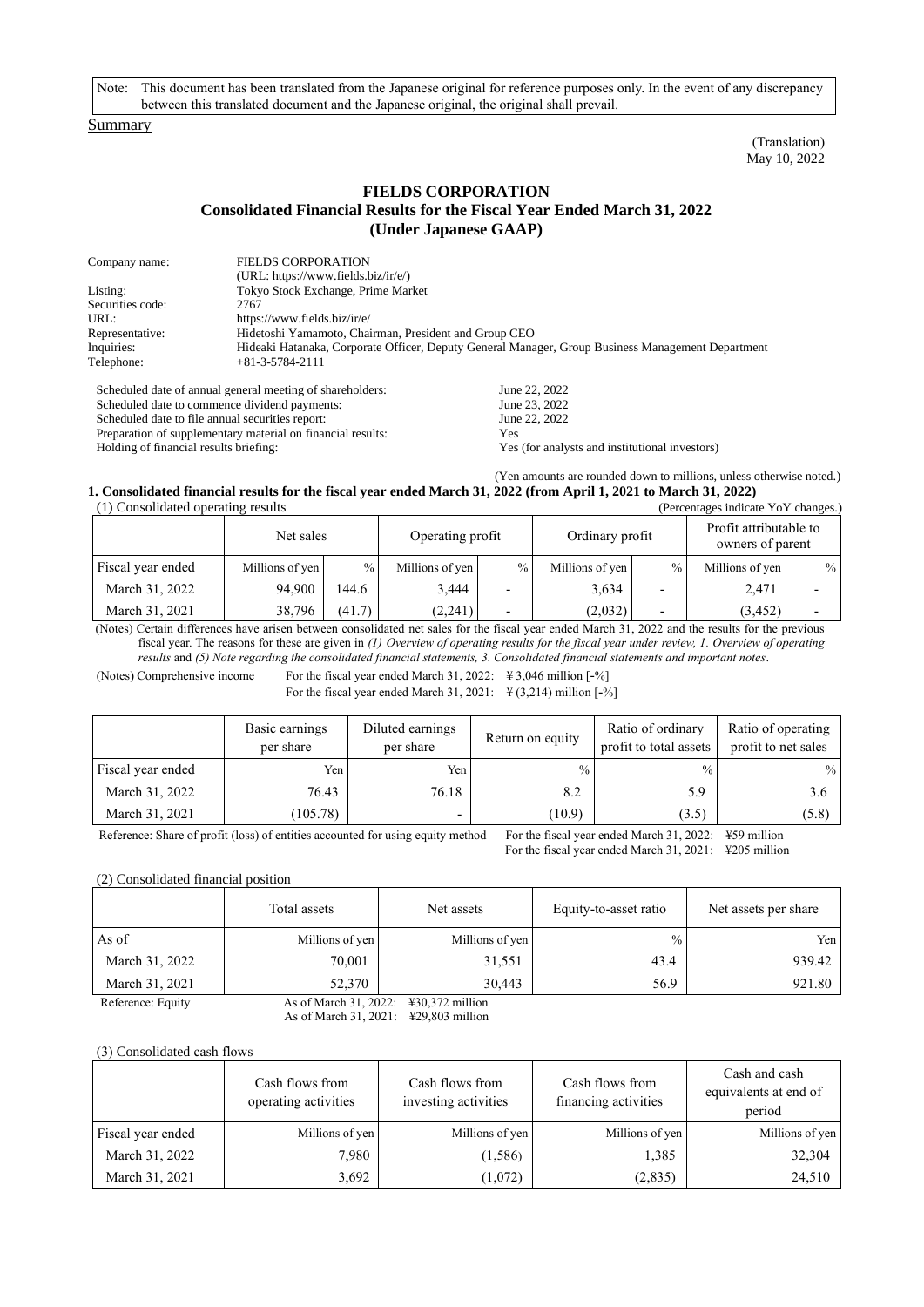Note: This document has been translated from the Japanese original for reference purposes only. In the event of any discrepancy between this translated document and the Japanese original, the original shall prevail.

## Summary

(Translation) May 10, 2022

## **FIELDS CORPORATION Consolidated Financial Results for the Fiscal Year Ended March 31, 2022 (Under Japanese GAAP)**

| Company name:    | <b>FIELDS CORPORATION</b>                                                                         |
|------------------|---------------------------------------------------------------------------------------------------|
|                  | $(URL: https://www.fields.biz/ir/e/)$                                                             |
| Listing:         | Tokyo Stock Exchange, Prime Market                                                                |
| Securities code: | 2767                                                                                              |
| URL:             | https://www.fields.biz/ir/e/                                                                      |
| Representative:  | Hidetoshi Yamamoto, Chairman, President and Group CEO                                             |
| Inquiries:       | Hideaki Hatanaka, Corporate Officer, Deputy General Manager, Group Business Management Department |
| Telephone:       | $+81-3-5784-2111$                                                                                 |
|                  |                                                                                                   |

Scheduled date of annual general meeting of shareholders: Scheduled date to commence dividend payments: Scheduled date to file annual securities report: Preparation of supplementary material on financial results: Holding of financial results briefing: June 22, 2022

June 23, 2022 June 22, 2022 Yes Yes (for analysts and institutional investors)

(Yen amounts are rounded down to millions, unless otherwise noted.)

#### **1. Consolidated financial results for the fiscal year ended March 31, 2022 (from April 1, 2021 to March 31, 2022)**  $(1)$  Consolidated operating results

| $(1)$ consolidated operating results<br>$\alpha$ credinages indicate TOT changes. |                 |               |                  |               |                 |      |                                            |      |  |  |
|-----------------------------------------------------------------------------------|-----------------|---------------|------------------|---------------|-----------------|------|--------------------------------------------|------|--|--|
|                                                                                   | Net sales       |               | Operating profit |               | Ordinary profit |      | Profit attributable to<br>owners of parent |      |  |  |
| Fiscal year ended                                                                 | Millions of yen | $\frac{0}{0}$ | Millions of yen  | $\frac{0}{0}$ | Millions of yen | $\%$ | Millions of yen                            | $\%$ |  |  |
| March 31, 2022                                                                    | 94.900          | 144.6         | 3,444            |               | 3.634           |      | 2,471                                      |      |  |  |
| March 31, 2021                                                                    | 38,796          | (41.7)        | (2,241)          |               | (2,032)         |      | (3, 452)                                   |      |  |  |

(Notes) Certain differences have arisen between consolidated net sales for the fiscal year ended March 31, 2022 and the results for the previous fiscal year. The reasons for these are given in *(1) Overview of operating results for the fiscal year under review, 1. Overview of operating results* and *(5) Note regarding the consolidated financial statements, 3. Consolidated financial statements and important notes*.

(Notes) Comprehensive income For the fiscal year ended March 31, 2022:  $\frac{4}{3}$ , 3,046 million [-%]

For the fiscal year ended March 31, 2021:  $\angle$  4 (3,214) million [-%]

|                   | Basic earnings<br>per share | Diluted earnings<br>per share | Return on equity | Ratio of ordinary<br>profit to total assets | Ratio of operating<br>profit to net sales |
|-------------------|-----------------------------|-------------------------------|------------------|---------------------------------------------|-------------------------------------------|
| Fiscal year ended | Yen                         | Yen                           | $\frac{0}{0}$    | $\frac{0}{0}$                               | $\frac{0}{0}$                             |
| March 31, 2022    | 76.43                       | 76.18                         | 8.2              | 5.9                                         | 3.6                                       |
| March 31, 2021    | (105.78)                    |                               | (10.9)           | (3.5)                                       | (5.8)                                     |

Reference: Share of profit (loss) of entities accounted for using equity method For the fiscal year ended March 31, 2022: ¥59 million

For the fiscal year ended March 31, 2021: ¥205 million

(2) Consolidated financial position

|                   | Total assets          | Net assets                | Equity-to-asset ratio | Net assets per share |
|-------------------|-----------------------|---------------------------|-----------------------|----------------------|
| As of             | Millions of yen       | Millions of yen           | $\frac{0}{0}$         | Yen                  |
| March 31, 2022    | 70,001                | 31,551                    | 43.4                  | 939.42               |
| March 31, 2021    | 52,370                | 30.443                    | 56.9                  | 921.80               |
| Reference: Equity | As of March 31, 2022: | $\text{\#30,372}$ million |                       |                      |

As of March 31, 2021: ¥29,803 million

(3) Consolidated cash flows

|                   | Cash flows from<br>operating activities | Cash flows from<br>investing activities | Cash flows from<br>financing activities | Cash and cash<br>equivalents at end of<br>period |
|-------------------|-----------------------------------------|-----------------------------------------|-----------------------------------------|--------------------------------------------------|
| Fiscal year ended | Millions of yen                         | Millions of yen                         | Millions of yen                         | Millions of yen                                  |
| March 31, 2022    | 7,980                                   | (1,586)                                 | 1,385                                   | 32,304                                           |
| March 31, 2021    | 3,692                                   | (1,072)                                 | (2,835)                                 | 24,510                                           |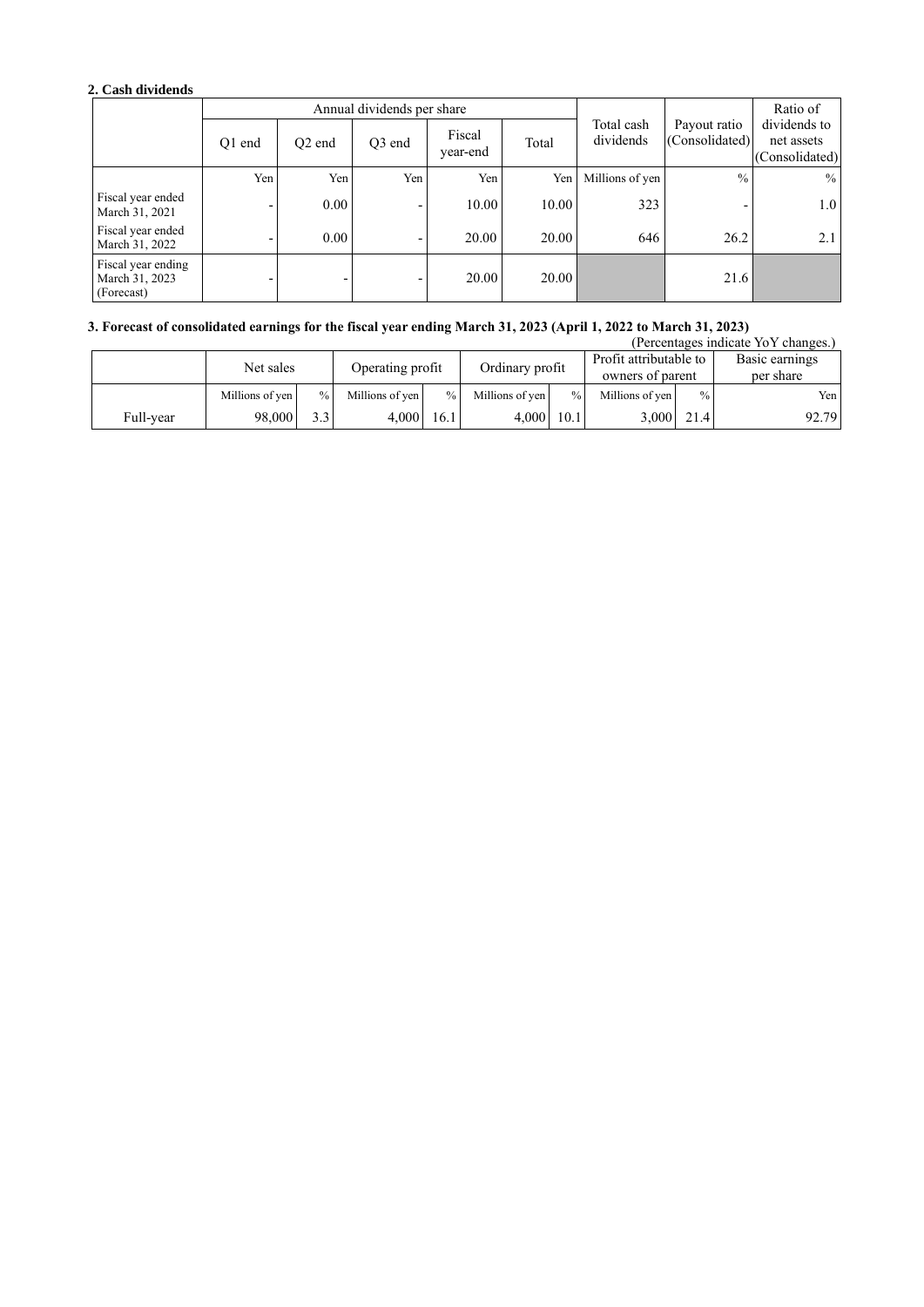# **2. Cash dividends**

|                                                    |        |                          | Annual dividends per share |                    |       | Ratio of                |                                |                                              |
|----------------------------------------------------|--------|--------------------------|----------------------------|--------------------|-------|-------------------------|--------------------------------|----------------------------------------------|
|                                                    | O1 end | O <sub>2</sub> end       | O <sub>3</sub> end         | Fiscal<br>year-end | Total | Total cash<br>dividends | Payout ratio<br>(Consolidated) | dividends to<br>net assets<br>(Consolidated) |
|                                                    | Yen    | Yen                      | Yen                        | Yen                | Yen   | Millions of yen         | $\frac{0}{0}$                  | $\%$                                         |
| Fiscal year ended<br>March 31, 2021                |        | 0.00                     | -                          | 10.00              | 10.00 | 323                     |                                | 1.0 <sub>l</sub>                             |
| Fiscal year ended<br>March 31, 2022                |        | 0.00                     | -                          | 20.00              | 20.00 | 646                     | 26.2                           | 2.1                                          |
| Fiscal year ending<br>March 31, 2023<br>(Forecast) |        | $\overline{\phantom{0}}$ | -                          | 20.00              | 20.00 |                         | 21.6                           |                                              |

## **3. Forecast of consolidated earnings for the fiscal year ending March 31, 2023 (April 1, 2022 to March 31, 2023)**

|           |                 |               |                  |      |                 |               |                                            |               | (Percentages indicate YoY changes.) |
|-----------|-----------------|---------------|------------------|------|-----------------|---------------|--------------------------------------------|---------------|-------------------------------------|
|           | Net sales       |               | Operating profit |      | Ordinary profit |               | Profit attributable to<br>owners of parent |               | Basic earnings<br>per share         |
|           | Millions of yen | $\frac{0}{0}$ | Millions of yen  | $\%$ | Millions of ven | $\frac{0}{0}$ | Millions of yen                            | $\frac{0}{0}$ | Yen l                               |
| Full-year | 98,000          |               | 4.000            | 16.1 | 4.000           | 10.1          | 3.000                                      | 21.4          | 92.79                               |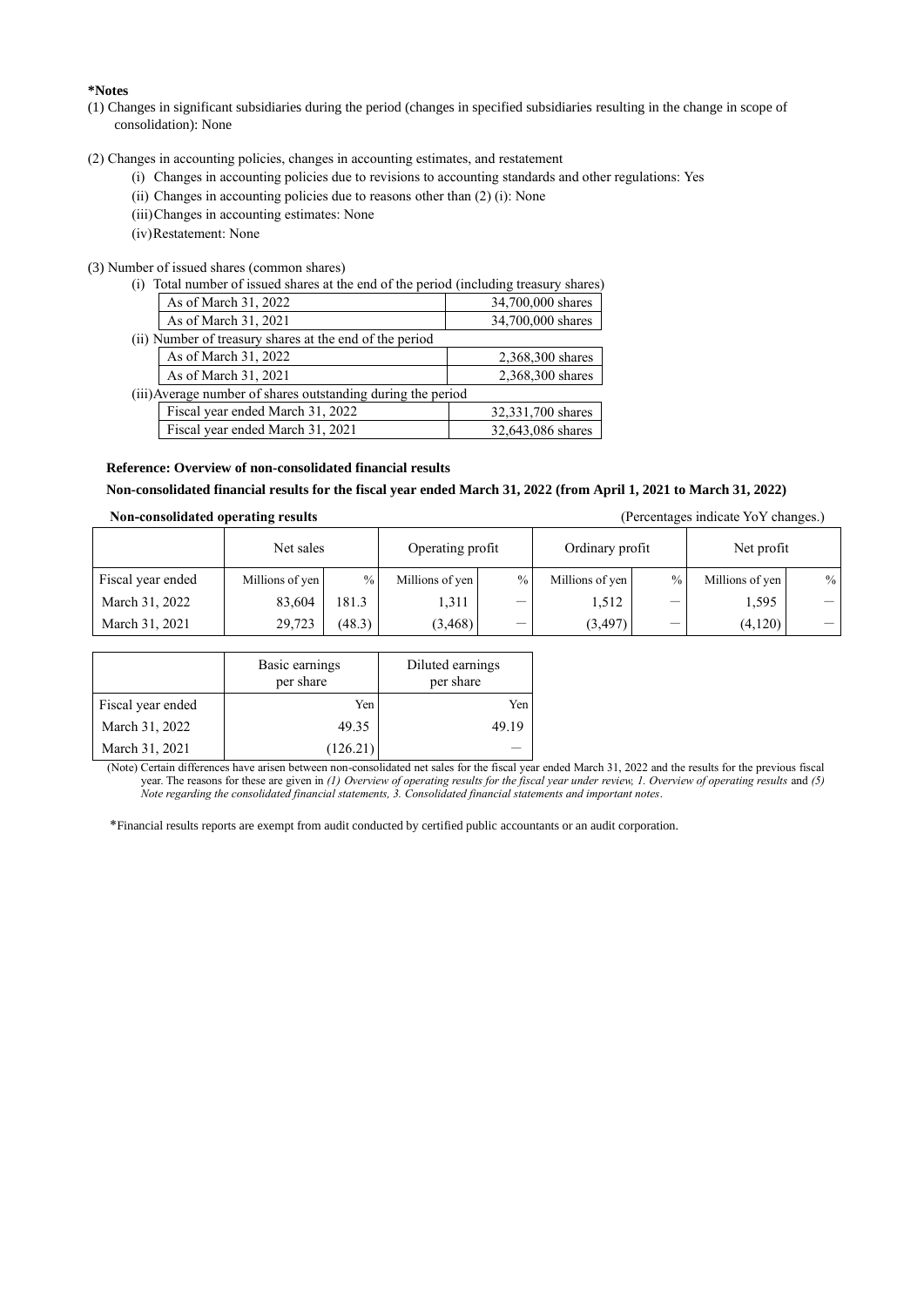## **\*Notes**

- (1) Changes in significant subsidiaries during the period (changes in specified subsidiaries resulting in the change in scope of consolidation): None
- (2) Changes in accounting policies, changes in accounting estimates, and restatement
	- (i) Changes in accounting policies due to revisions to accounting standards and other regulations: Yes
	- (ii) Changes in accounting policies due to reasons other than (2) (i): None
	- (iii)Changes in accounting estimates: None
	- (iv)Restatement: None

(3) Number of issued shares (common shares)<br>(i) Total number of issued shares at the

| mber of issued shares (common shares)                                                     |                   |  |  |  |  |  |  |
|-------------------------------------------------------------------------------------------|-------------------|--|--|--|--|--|--|
| Total number of issued shares at the end of the period (including treasury shares)<br>(1) |                   |  |  |  |  |  |  |
| As of March 31, 2022                                                                      | 34,700,000 shares |  |  |  |  |  |  |
| As of March 31, 2021                                                                      | 34,700,000 shares |  |  |  |  |  |  |
| (ii) Number of treasury shares at the end of the period                                   |                   |  |  |  |  |  |  |
| As of March 31, 2022                                                                      | 2,368,300 shares  |  |  |  |  |  |  |
| As of March 31, 2021                                                                      | 2,368,300 shares  |  |  |  |  |  |  |
| (iii) Average number of shares outstanding during the period                              |                   |  |  |  |  |  |  |
| Fiscal year ended March 31, 2022                                                          | 32,331,700 shares |  |  |  |  |  |  |
| Fiscal year ended March 31, 2021                                                          | 32,643,086 shares |  |  |  |  |  |  |
|                                                                                           |                   |  |  |  |  |  |  |

## **Reference: Overview of non-consolidated financial results**

## **Non-consolidated financial results for the fiscal year ended March 31, 2022 (from April 1, 2021 to March 31, 2022)**

**Non-consolidated operating results** (Percentages indicate YoY changes.)

|                   | Operating profit<br>Net sales |               |                 |                                 | Ordinary profit |                          | Net profit      |      |
|-------------------|-------------------------------|---------------|-----------------|---------------------------------|-----------------|--------------------------|-----------------|------|
| Fiscal year ended | Millions of yen               | $\frac{0}{0}$ | Millions of yen | $\frac{0}{0}$                   | Millions of yen | $\%$                     | Millions of yen | $\%$ |
| March 31, 2022    | 83,604                        | 181.3         | 1,311           | $\hspace{0.1mm}-\hspace{0.1mm}$ | 1,512           | $\overline{\phantom{m}}$ | 1,595           |      |
| March 31, 2021    | 29,723                        | (48.3)        | (3, 468)        | $\overline{\phantom{0}}$        | (3, 497)        | —                        | (4,120)         |      |

|                   | Basic earnings<br>per share | Diluted earnings<br>per share |
|-------------------|-----------------------------|-------------------------------|
| Fiscal year ended | Yen                         | Yen                           |
| March 31, 2022    | 49.35                       | 49.19                         |
| March 31, 2021    | (126.21)                    |                               |

(Note) Certain differences have arisen between non-consolidated net sales for the fiscal year ended March 31, 2022 and the results for the previous fiscal year. The reasons for these are given in *(1) Overview of operating results for the fiscal year under review, 1. Overview of operating results* and *(5) Note regarding the consolidated financial statements, 3. Consolidated financial statements and important notes*.

\*Financial results reports are exempt from audit conducted by certified public accountants or an audit corporation.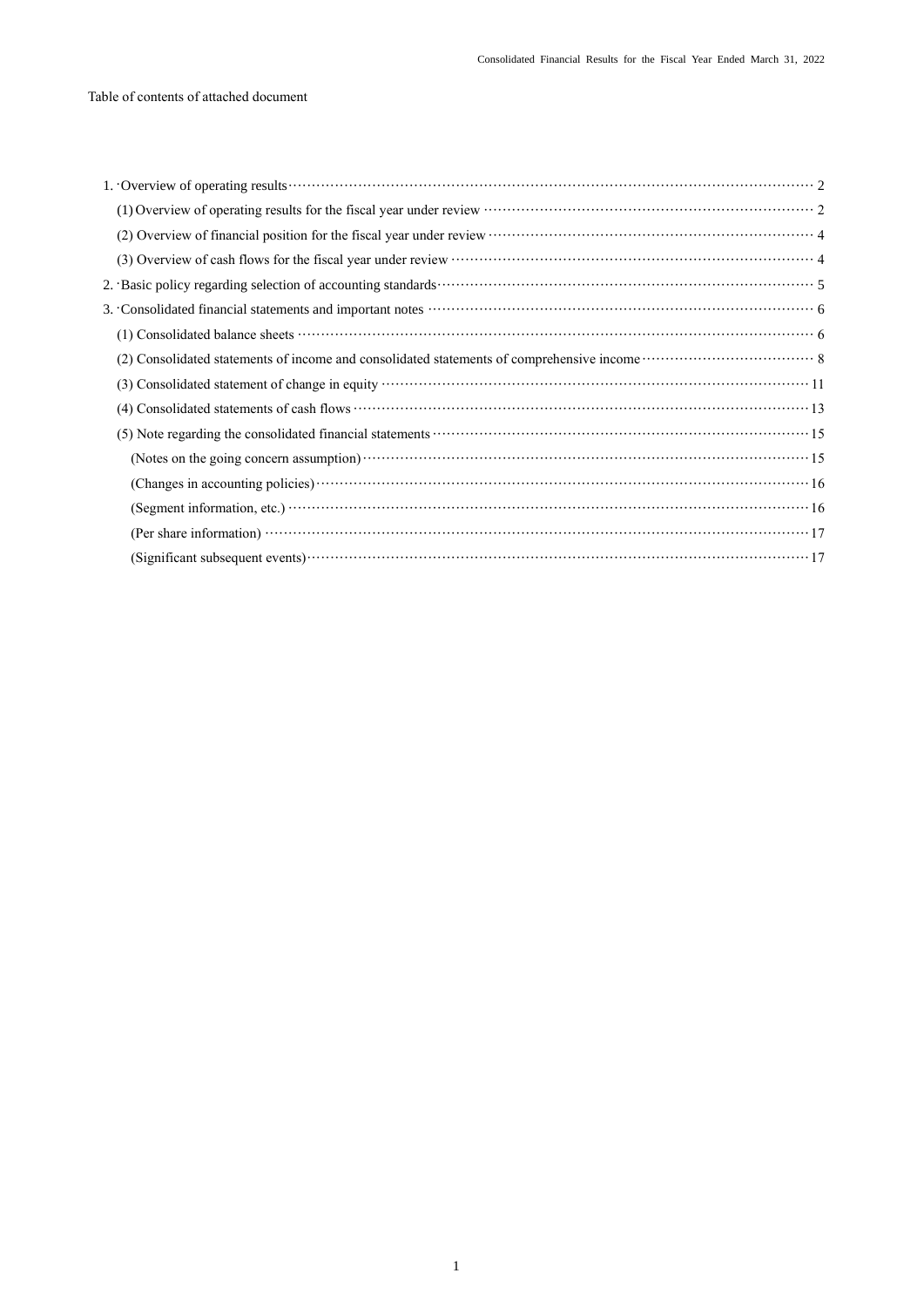| (1) |
|-----|
| (2) |
|     |
|     |
|     |
|     |
|     |
|     |
|     |
|     |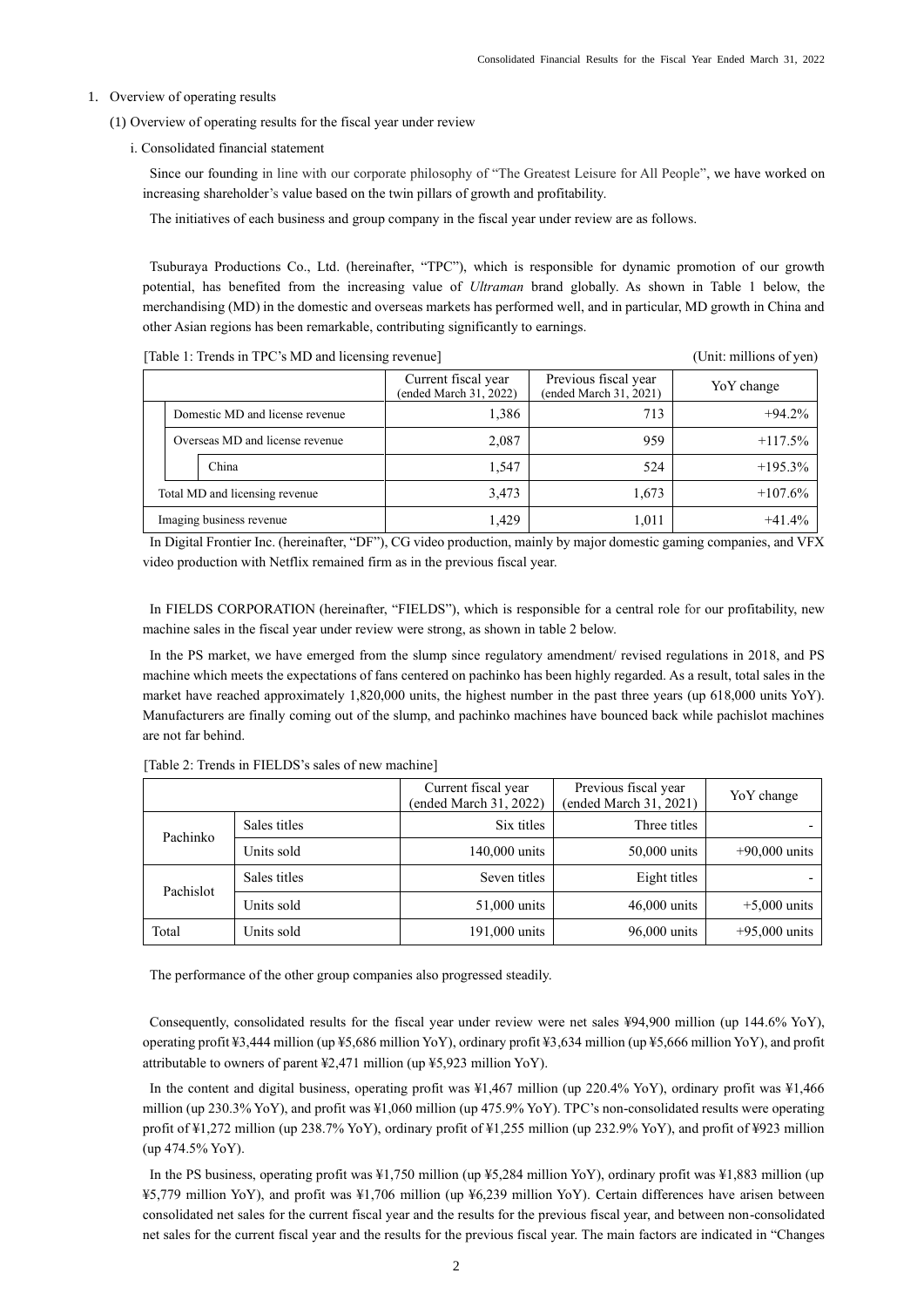### <span id="page-4-0"></span>1. Overview of operating results

- <span id="page-4-1"></span>(1) Overview of operating results for the fiscal year under review
	- i. Consolidated financial statement

Since our founding in line with our corporate philosophy of "The Greatest Leisure for All People", we have worked on increasing shareholder's value based on the twin pillars of growth and profitability.

The initiatives of each business and group company in the fiscal year under review are as follows.

Tsuburaya Productions Co., Ltd. (hereinafter, "TPC"), which is responsible for dynamic promotion of our growth potential, has benefited from the increasing value of *Ultraman* brand globally. As shown in Table 1 below, the merchandising (MD) in the domestic and overseas markets has performed well, and in particular, MD growth in China and other Asian regions has been remarkable, contributing significantly to earnings.

[Table 1: Trends in TPC's MD and licensing revenue] (Unit: millions of yen)

|                                |                                 | Current fiscal year<br>(ended March 31, 2022) | Previous fiscal year<br>(ended March 31, 2021) | Yo Y change |
|--------------------------------|---------------------------------|-----------------------------------------------|------------------------------------------------|-------------|
|                                | Domestic MD and license revenue | 1,386                                         | 713                                            | $+94.2%$    |
|                                | Overseas MD and license revenue | 2,087                                         | 959                                            | $+117.5%$   |
|                                | China                           | 1,547                                         | 524                                            | $+195.3\%$  |
| Total MD and licensing revenue |                                 | 3,473                                         | 1,673                                          | $+107.6%$   |
| Imaging business revenue       |                                 | 1,429                                         | 1,011                                          | $+41.4%$    |

In Digital Frontier Inc. (hereinafter, "DF"), CG video production, mainly by major domestic gaming companies, and VFX video production with Netflix remained firm as in the previous fiscal year.

In FIELDS CORPORATION (hereinafter, "FIELDS"), which is responsible for a central role for our profitability, new machine sales in the fiscal year under review were strong, as shown in table 2 below.

In the PS market, we have emerged from the slump since regulatory amendment/ revised regulations in 2018, and PS machine which meets the expectations of fans centered on pachinko has been highly regarded. As a result, total sales in the market have reached approximately 1,820,000 units, the highest number in the past three years (up 618,000 units YoY). Manufacturers are finally coming out of the slump, and pachinko machines have bounced back while pachislot machines are not far behind.

|           |              | Current fiscal year<br>(ended March 31, 2022) | Previous fiscal year<br>(ended March 31, 2021) | YoY change      |
|-----------|--------------|-----------------------------------------------|------------------------------------------------|-----------------|
| Pachinko  | Sales titles | Six titles                                    | Three titles                                   |                 |
|           | Units sold   | 140,000 units                                 | 50,000 units                                   | $+90,000$ units |
| Pachislot | Sales titles | Seven titles                                  | Eight titles                                   |                 |
|           | Units sold   | 51,000 units                                  | $46,000$ units                                 | $+5,000$ units  |
| Total     | Units sold   | 191,000 units                                 | 96,000 units                                   | $+95,000$ units |

[Table 2: Trends in FIELDS's sales of new machine]

The performance of the other group companies also progressed steadily.

Consequently, consolidated results for the fiscal year under review were net sales ¥94,900 million (up 144.6% YoY), operating profit ¥3,444 million (up ¥5,686 million YoY), ordinary profit ¥3,634 million (up ¥5,666 million YoY), and profit attributable to owners of parent ¥2,471 million (up ¥5,923 million YoY).

In the content and digital business, operating profit was ¥1,467 million (up 220.4% YoY), ordinary profit was ¥1,466 million (up 230.3% YoY), and profit was ¥1,060 million (up 475.9% YoY). TPC's non-consolidated results were operating profit of ¥1,272 million (up 238.7% YoY), ordinary profit of ¥1,255 million (up 232.9% YoY), and profit of ¥923 million (up 474.5% YoY).

In the PS business, operating profit was ¥1,750 million (up ¥5,284 million YoY), ordinary profit was ¥1,883 million (up ¥5,779 million YoY), and profit was ¥1,706 million (up ¥6,239 million YoY). Certain differences have arisen between consolidated net sales for the current fiscal year and the results for the previous fiscal year, and between non-consolidated net sales for the current fiscal year and the results for the previous fiscal year. The main factors are indicated in "Changes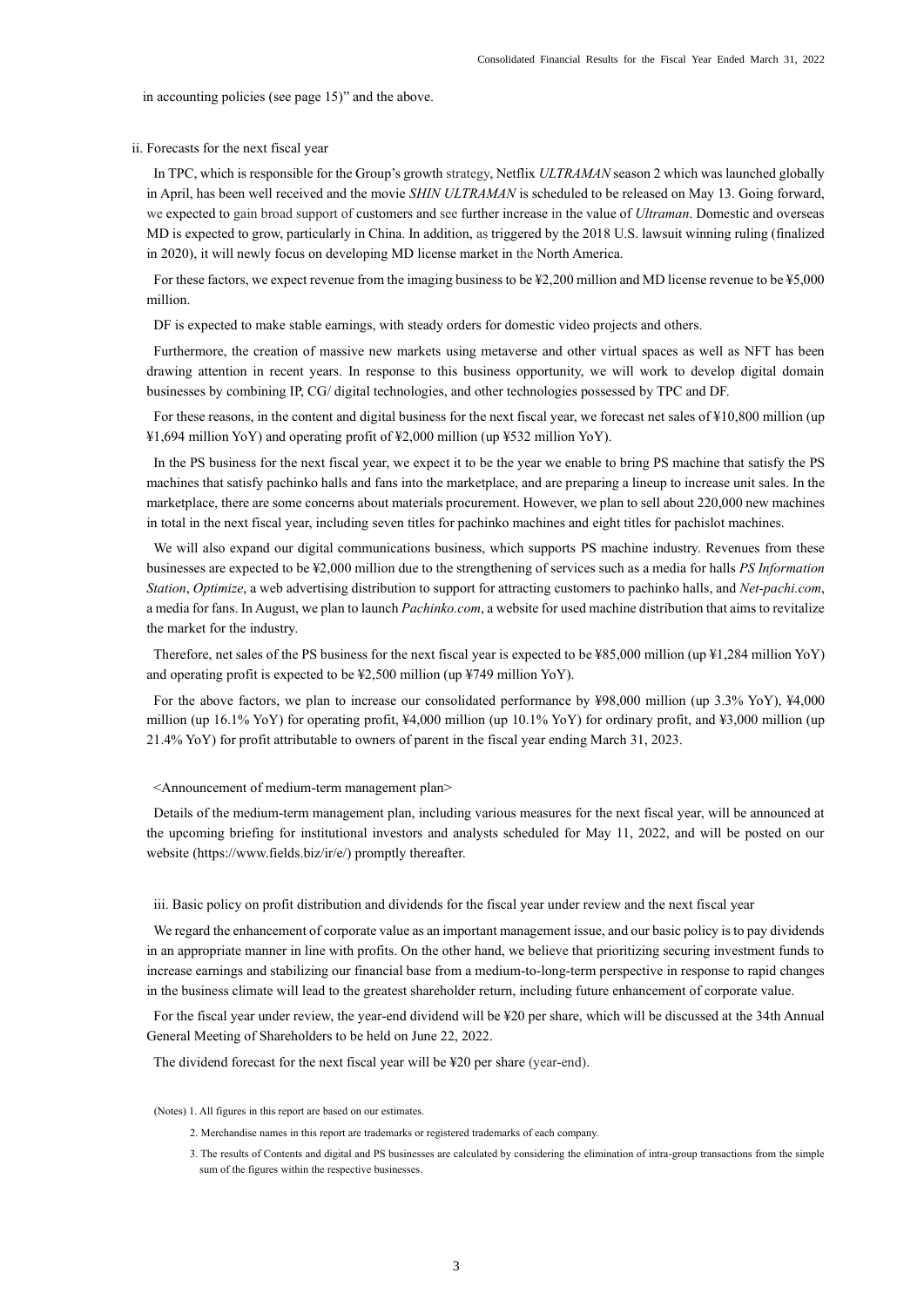in accounting policies (see page 15)" and the above.

## ii. Forecasts for the next fiscal year

In TPC, which is responsible for the Group's growth strategy, Netflix *ULTRAMAN* season 2 which was launched globally in April, has been well received and the movie *SHIN ULTRAMAN* is scheduled to be released on May 13. Going forward, we expected to gain broad support of customers and see further increase in the value of *Ultraman*. Domestic and overseas MD is expected to grow, particularly in China. In addition, as triggered by the 2018 U.S. lawsuit winning ruling (finalized in 2020), it will newly focus on developing MD license market in the North America.

For these factors, we expect revenue from the imaging business to be ¥2,200 million and MD license revenue to be ¥5,000 million.

DF is expected to make stable earnings, with steady orders for domestic video projects and others.

Furthermore, the creation of massive new markets using metaverse and other virtual spaces as well as NFT has been drawing attention in recent years. In response to this business opportunity, we will work to develop digital domain businesses by combining IP, CG/ digital technologies, and other technologies possessed by TPC and DF.

For these reasons, in the content and digital business for the next fiscal year, we forecast net sales of ¥10,800 million (up ¥1,694 million YoY) and operating profit of ¥2,000 million (up ¥532 million YoY).

In the PS business for the next fiscal year, we expect it to be the year we enable to bring PS machine that satisfy the PS machines that satisfy pachinko halls and fans into the marketplace, and are preparing a lineup to increase unit sales. In the marketplace, there are some concerns about materials procurement. However, we plan to sell about 220,000 new machines in total in the next fiscal year, including seven titles for pachinko machines and eight titles for pachislot machines.

We will also expand our digital communications business, which supports PS machine industry. Revenues from these businesses are expected to be ¥2,000 million due to the strengthening of services such as a media for halls *PS Information Station*, *Optimize*, a web advertising distribution to support for attracting customers to pachinko halls, and *Net-pachi.com*, a media for fans. In August, we plan to launch *Pachinko.com*, a website for used machine distribution that aims to revitalize the market for the industry.

Therefore, net sales of the PS business for the next fiscal year is expected to be ¥85,000 million (up ¥1,284 million YoY) and operating profit is expected to be ¥2,500 million (up ¥749 million YoY).

For the above factors, we plan to increase our consolidated performance by ¥98,000 million (up 3.3% YoY), ¥4,000 million (up 16.1% YoY) for operating profit, ¥4,000 million (up 10.1% YoY) for ordinary profit, and ¥3,000 million (up 21.4% YoY) for profit attributable to owners of parent in the fiscal year ending March 31, 2023.

<Announcement of medium-term management plan>

Details of the medium-term management plan, including various measures for the next fiscal year, will be announced at the upcoming briefing for institutional investors and analysts scheduled for May 11, 2022, and will be posted on our website (https://www.fields.biz/ir/e/) promptly thereafter.

#### iii. Basic policy on profit distribution and dividends for the fiscal year under review and the next fiscal year

We regard the enhancement of corporate value as an important management issue, and our basic policy is to pay dividends in an appropriate manner in line with profits. On the other hand, we believe that prioritizing securing investment funds to increase earnings and stabilizing our financial base from a medium-to-long-term perspective in response to rapid changes in the business climate will lead to the greatest shareholder return, including future enhancement of corporate value.

For the fiscal year under review, the year-end dividend will be ¥20 per share, which will be discussed at the 34th Annual General Meeting of Shareholders to be held on June 22, 2022.

The dividend forecast for the next fiscal year will be ¥20 per share (year-end).

(Notes) 1. All figures in this report are based on our estimates.

- 2. Merchandise names in this report are trademarks or registered trademarks of each company.
- 3. The results of Contents and digital and PS businesses are calculated by considering the elimination of intra-group transactions from the simple sum of the figures within the respective businesses.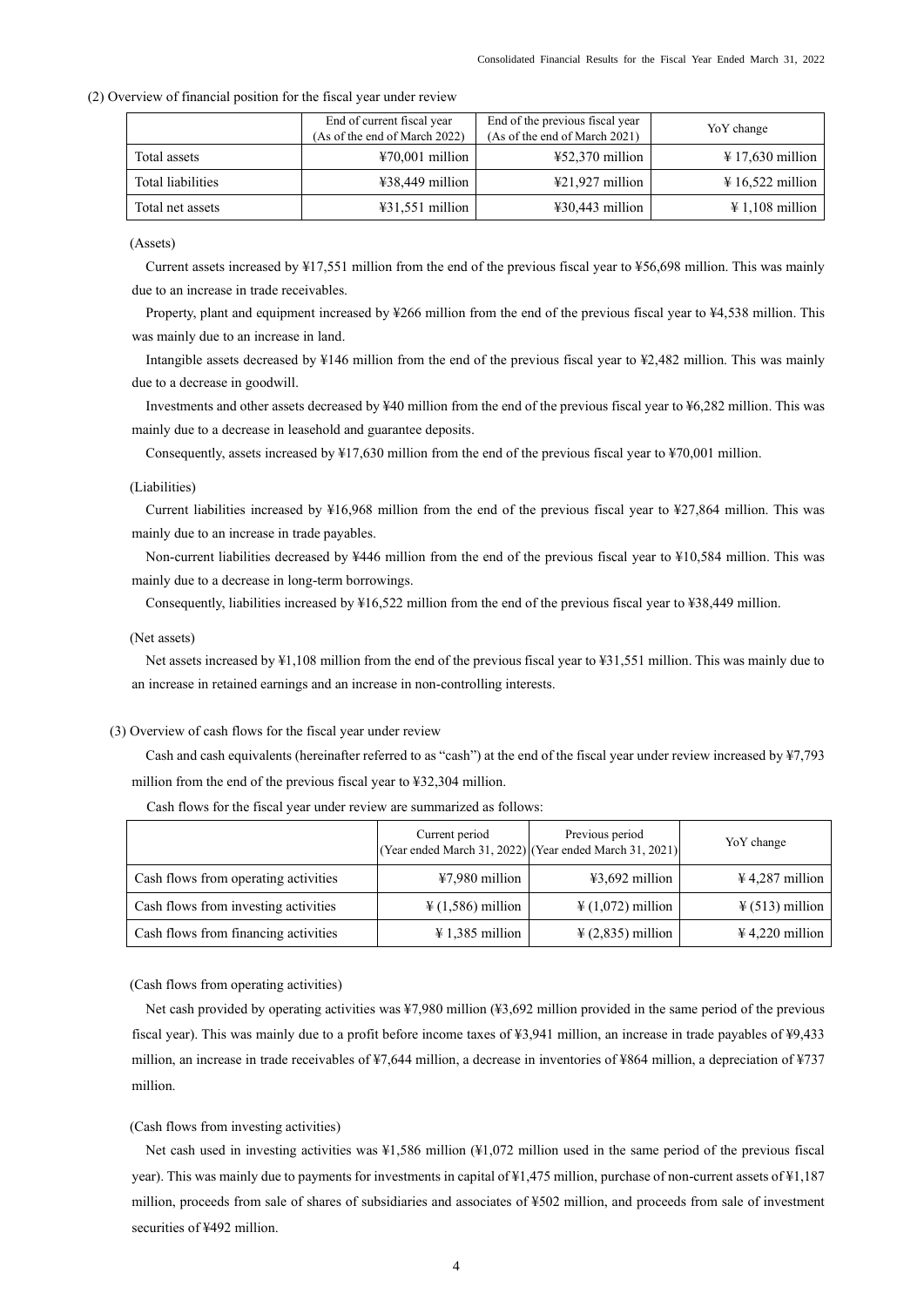|                   | End of current fiscal year<br>(As of the end of March 2022) | End of the previous fiscal year<br>(As of the end of March 2021) | YoY change                  |
|-------------------|-------------------------------------------------------------|------------------------------------------------------------------|-----------------------------|
| Total assets      | $\text{\#}70,001$ million                                   | $\text{\#52,370}$ million                                        | $\text{\#}\,17,630$ million |
| Total liabilities | $438,449$ million                                           | $\text{\textsterling}21,927$ million                             | $\text{\#} 16,522$ million  |
| Total net assets  | $\text{\#31,551}$ million                                   | $\text{\#30,443}$ million                                        | $\text{\#} 1,108$ million   |

#### <span id="page-6-0"></span>(2) Overview of financial position for the fiscal year under review

#### (Assets)

Current assets increased by ¥17,551 million from the end of the previous fiscal year to ¥56,698 million. This was mainly due to an increase in trade receivables.

Property, plant and equipment increased by ¥266 million from the end of the previous fiscal year to ¥4,538 million. This was mainly due to an increase in land.

Intangible assets decreased by ¥146 million from the end of the previous fiscal year to ¥2,482 million. This was mainly due to a decrease in goodwill.

Investments and other assets decreased by ¥40 million from the end of the previous fiscal year to ¥6,282 million. This was mainly due to a decrease in leasehold and guarantee deposits.

Consequently, assets increased by ¥17,630 million from the end of the previous fiscal year to ¥70,001 million.

#### (Liabilities)

Current liabilities increased by ¥16,968 million from the end of the previous fiscal year to ¥27,864 million. This was mainly due to an increase in trade payables.

Non-current liabilities decreased by ¥446 million from the end of the previous fiscal year to ¥10,584 million. This was mainly due to a decrease in long-term borrowings.

Consequently, liabilities increased by ¥16,522 million from the end of the previous fiscal year to ¥38,449 million.

#### (Net assets)

Net assets increased by ¥1,108 million from the end of the previous fiscal year to ¥31,551 million. This was mainly due to an increase in retained earnings and an increase in non-controlling interests.

#### <span id="page-6-1"></span>(3) Overview of cash flows for the fiscal year under review

Cash and cash equivalents (hereinafter referred to as "cash") at the end of the fiscal year under review increased by ¥7,793 million from the end of the previous fiscal year to ¥32,304 million.

|                                      | Current period                | Previous period<br>(Year ended March 31, 2022) (Year ended March 31, 2021) | YoY change                  |
|--------------------------------------|-------------------------------|----------------------------------------------------------------------------|-----------------------------|
| Cash flows from operating activities | $47,980$ million              | $43,692$ million                                                           | $\frac{1}{2}$ 4,287 million |
| Cash flows from investing activities | $\frac{1}{2}$ (1,586) million | $\frac{1}{2}$ (1,072) million                                              | $\frac{1}{2}$ (513) million |
| Cash flows from financing activities | $\text{\#} 1,385$ million     | $\frac{1}{2}$ (2,835) million                                              | $\frac{1}{2}$ 4,220 million |

Cash flows for the fiscal year under review are summarized as follows:

(Cash flows from operating activities)

Net cash provided by operating activities was ¥7,980 million (¥3,692 million provided in the same period of the previous fiscal year). This was mainly due to a profit before income taxes of ¥3,941 million, an increase in trade payables of ¥9,433 million, an increase in trade receivables of ¥7,644 million, a decrease in inventories of ¥864 million, a depreciation of ¥737 million.

#### (Cash flows from investing activities)

Net cash used in investing activities was ¥1,586 million (¥1,072 million used in the same period of the previous fiscal year). This was mainly due to payments for investments in capital of ¥1,475 million, purchase of non-current assets of ¥1,187 million, proceeds from sale of shares of subsidiaries and associates of ¥502 million, and proceeds from sale of investment securities of ¥492 million.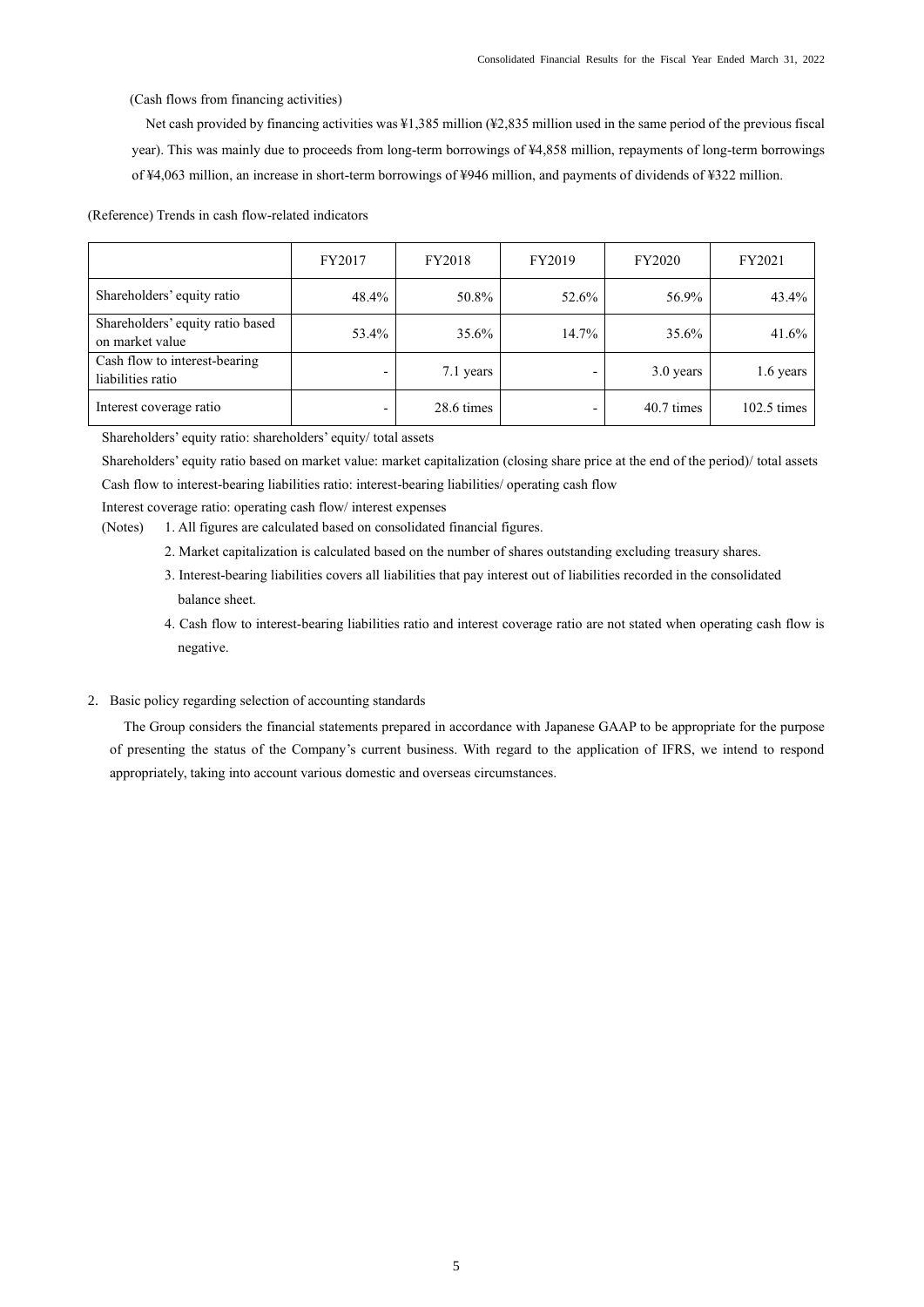(Cash flows from financing activities)

Net cash provided by financing activities was ¥1,385 million (¥2,835 million used in the same period of the previous fiscal year). This was mainly due to proceeds from long-term borrowings of ¥4,858 million, repayments of long-term borrowings of ¥4,063 million, an increase in short-term borrowings of ¥946 million, and payments of dividends of ¥322 million.

(Reference) Trends in cash flow-related indicators

|                                                     | FY2017                   | <b>FY2018</b> | FY2019 | FY2020     | FY2021                |
|-----------------------------------------------------|--------------------------|---------------|--------|------------|-----------------------|
| Shareholders' equity ratio                          | 48.4%                    | 50.8%         | 52.6%  | 56.9%      | 43.4%                 |
| Shareholders' equity ratio based<br>on market value | 53.4%                    | 35.6%         | 14.7%  | 35.6%      | 41.6%                 |
| Cash flow to interest-bearing<br>liabilities ratio  | $\overline{\phantom{0}}$ | 7.1 years     |        | 3.0 years  | 1.6 years             |
| Interest coverage ratio                             | $\overline{\phantom{0}}$ | 28.6 times    |        | 40.7 times | $102.5 \text{ times}$ |

Shareholders' equity ratio: shareholders' equity/ total assets

Shareholders' equity ratio based on market value: market capitalization (closing share price at the end of the period)/ total assets Cash flow to interest-bearing liabilities ratio: interest-bearing liabilities/ operating cash flow

Interest coverage ratio: operating cash flow/ interest expenses

- (Notes) 1. All figures are calculated based on consolidated financial figures.
	- 2. Market capitalization is calculated based on the number of shares outstanding excluding treasury shares.
	- 3. Interest-bearing liabilities covers all liabilities that pay interest out of liabilities recorded in the consolidated balance sheet.
	- 4. Cash flow to interest-bearing liabilities ratio and interest coverage ratio are not stated when operating cash flow is negative.
- <span id="page-7-0"></span>2. Basic policy regarding selection of accounting standards

The Group considers the financial statements prepared in accordance with Japanese GAAP to be appropriate for the purpose of presenting the status of the Company's current business. With regard to the application of IFRS, we intend to respond appropriately, taking into account various domestic and overseas circumstances.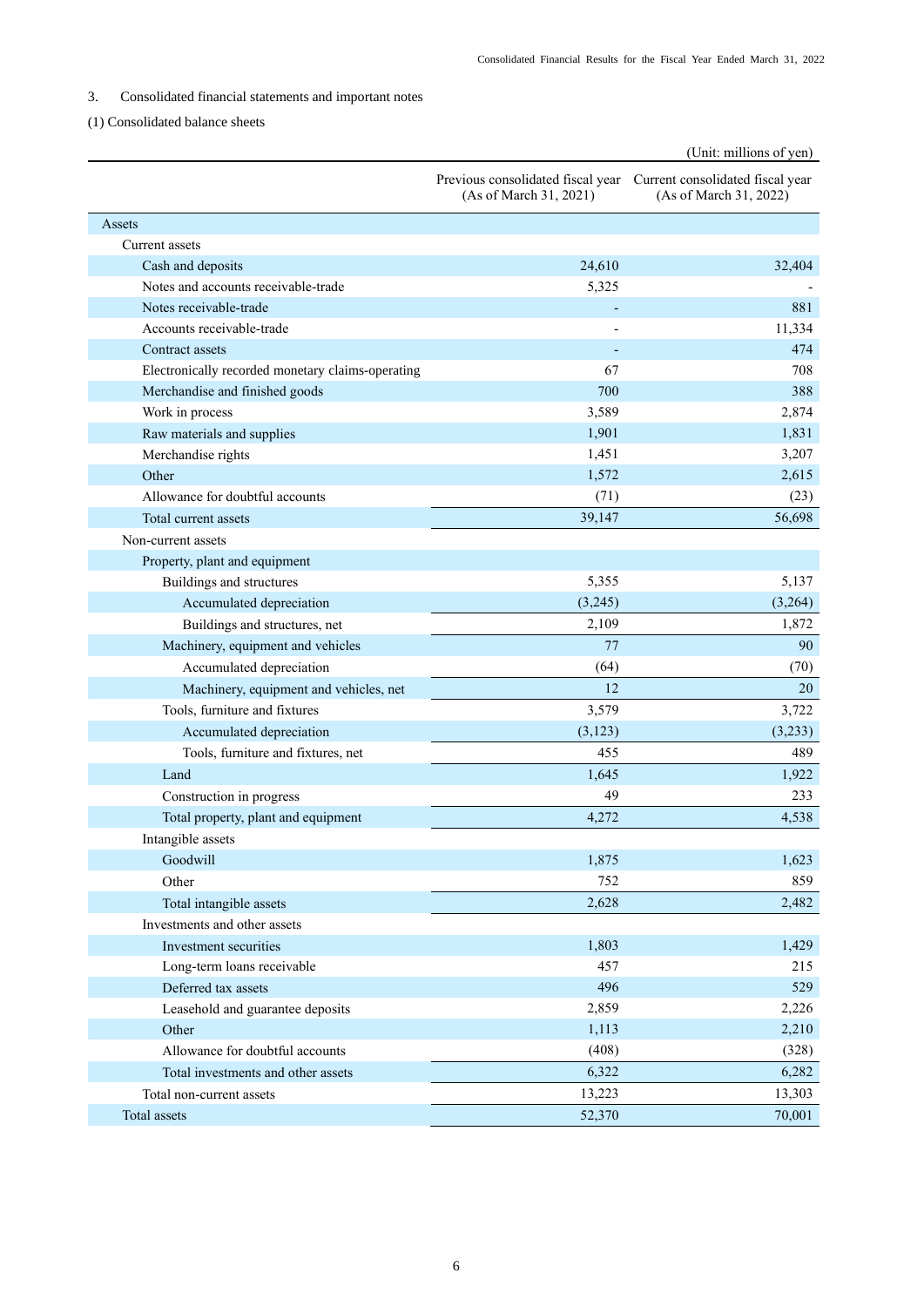# <span id="page-8-0"></span>3. Consolidated financial statements and important notes

# <span id="page-8-1"></span>(1) Consolidated balance sheets

|                                                   |                                                             | (Unit: millions of yen)                                    |
|---------------------------------------------------|-------------------------------------------------------------|------------------------------------------------------------|
|                                                   | Previous consolidated fiscal year<br>(As of March 31, 2021) | Current consolidated fiscal year<br>(As of March 31, 2022) |
| Assets                                            |                                                             |                                                            |
| Current assets                                    |                                                             |                                                            |
| Cash and deposits                                 | 24,610                                                      | 32,404                                                     |
| Notes and accounts receivable-trade               | 5,325                                                       |                                                            |
| Notes receivable-trade                            |                                                             | 881                                                        |
| Accounts receivable-trade                         |                                                             | 11,334                                                     |
| Contract assets                                   |                                                             | 474                                                        |
| Electronically recorded monetary claims-operating | 67                                                          | 708                                                        |
| Merchandise and finished goods                    | 700                                                         | 388                                                        |
| Work in process                                   | 3,589                                                       | 2,874                                                      |
| Raw materials and supplies                        | 1,901                                                       | 1,831                                                      |
| Merchandise rights                                | 1,451                                                       | 3,207                                                      |
| Other                                             | 1,572                                                       | 2,615                                                      |
| Allowance for doubtful accounts                   | (71)                                                        | (23)                                                       |
| Total current assets                              | 39,147                                                      | 56,698                                                     |
| Non-current assets                                |                                                             |                                                            |
| Property, plant and equipment                     |                                                             |                                                            |
| Buildings and structures                          | 5,355                                                       | 5,137                                                      |
| Accumulated depreciation                          | (3,245)                                                     | (3,264)                                                    |
| Buildings and structures, net                     | 2,109                                                       | 1,872                                                      |
| Machinery, equipment and vehicles                 | 77                                                          | 90                                                         |
| Accumulated depreciation                          | (64)                                                        | (70)                                                       |
| Machinery, equipment and vehicles, net            | 12                                                          | 20                                                         |
| Tools, furniture and fixtures                     | 3,579                                                       | 3,722                                                      |
| Accumulated depreciation                          | (3,123)                                                     | (3,233)                                                    |
| Tools, furniture and fixtures, net                | 455                                                         | 489                                                        |
| Land                                              | 1,645                                                       | 1,922                                                      |
| Construction in progress                          | 49                                                          | 233                                                        |
| Total property, plant and equipment               | 4,272                                                       | 4,538                                                      |
| Intangible assets                                 |                                                             |                                                            |
| Goodwill                                          | 1,875                                                       | 1,623                                                      |
| Other                                             | 752                                                         | 859                                                        |
| Total intangible assets                           | 2,628                                                       | 2,482                                                      |
| Investments and other assets                      |                                                             |                                                            |
| Investment securities                             | 1,803                                                       | 1,429                                                      |
| Long-term loans receivable                        | 457                                                         | 215                                                        |
| Deferred tax assets                               | 496                                                         | 529                                                        |
| Leasehold and guarantee deposits                  | 2,859                                                       | 2,226                                                      |
| Other                                             | 1,113                                                       | 2,210                                                      |
| Allowance for doubtful accounts                   | (408)                                                       | (328)                                                      |
| Total investments and other assets                | 6,322                                                       | 6,282                                                      |
| Total non-current assets                          | 13,223                                                      | 13,303                                                     |
| Total assets                                      | 52,370                                                      | 70,001                                                     |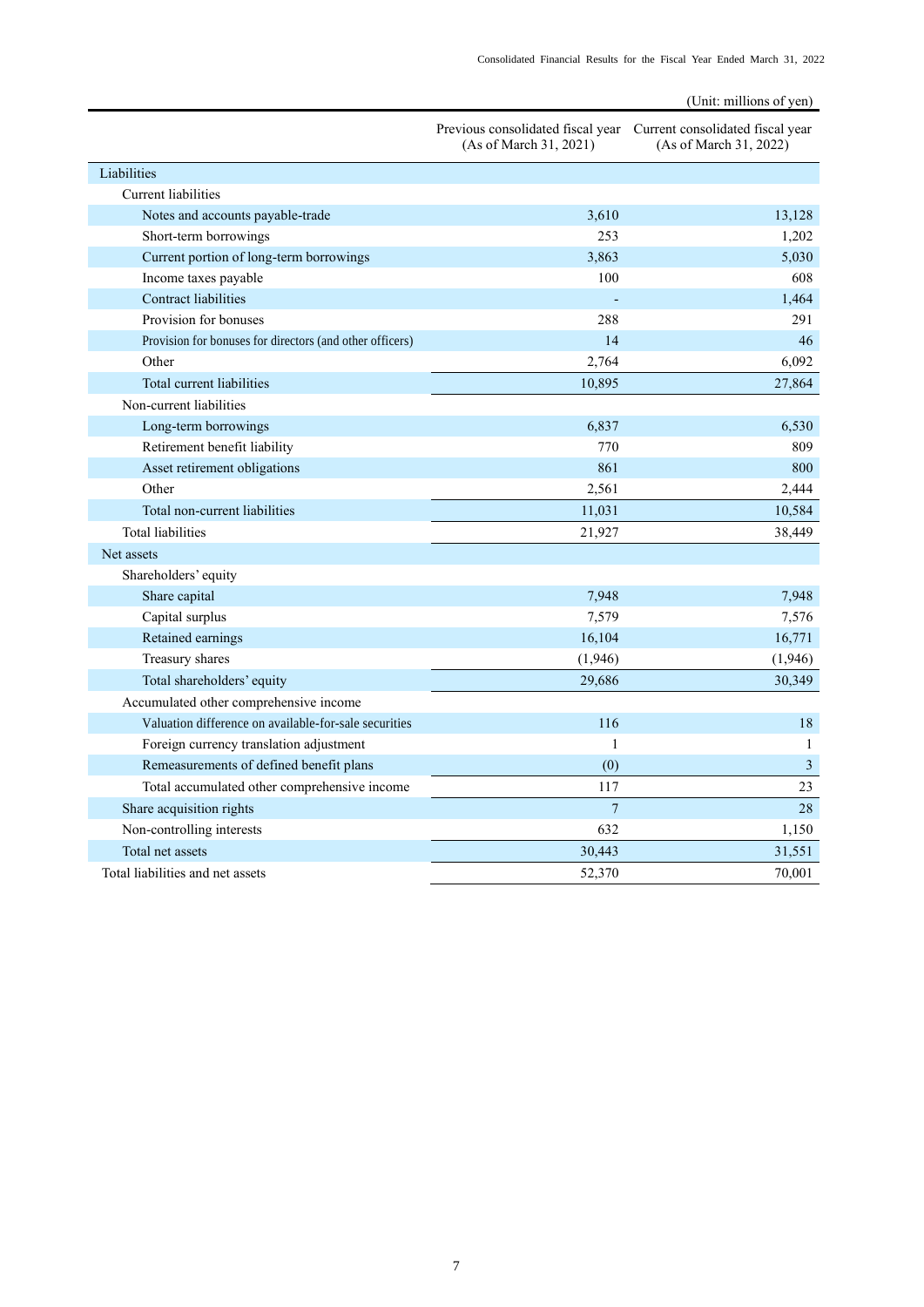|                                                          |                                                                                              | (Unit: millions of yen) |
|----------------------------------------------------------|----------------------------------------------------------------------------------------------|-------------------------|
|                                                          | Previous consolidated fiscal year Current consolidated fiscal year<br>(As of March 31, 2021) | (As of March 31, 2022)  |
| Liabilities                                              |                                                                                              |                         |
| Current liabilities                                      |                                                                                              |                         |
| Notes and accounts payable-trade                         | 3.610                                                                                        | 13.128                  |
| Short-term borrowings                                    | 253                                                                                          | 1,202                   |
| Current portion of long-term borrowings                  | 3,863                                                                                        | 5,030                   |
| Income taxes payable                                     | 100                                                                                          | 608                     |
| <b>Contract liabilities</b>                              |                                                                                              | 1,464                   |
| Provision for bonuses                                    | 288                                                                                          | 291                     |
| Provision for bonuses for directors (and other officers) | 14                                                                                           | 46                      |
| Other                                                    | 2,764                                                                                        | 6,092                   |
| Total current liabilities                                | 10,895                                                                                       | 27,864                  |
| Non-current liabilities                                  |                                                                                              |                         |
| Long-term borrowings                                     | 6,837                                                                                        | 6.530                   |
| Retirement benefit liability                             | 770                                                                                          | 809                     |
| Asset retirement obligations                             | 861                                                                                          | 800                     |
| Other                                                    | 2,561                                                                                        | 2,444                   |
| Total non-current liabilities                            | 11,031                                                                                       | 10,584                  |
| <b>Total liabilities</b>                                 | 21,927                                                                                       | 38,449                  |
| Net assets                                               |                                                                                              |                         |
| Shareholders' equity                                     |                                                                                              |                         |
| Share capital                                            | 7,948                                                                                        | 7,948                   |
| Capital surplus                                          | 7,579                                                                                        | 7,576                   |
| Retained earnings                                        | 16,104                                                                                       | 16,771                  |
| Treasury shares                                          | (1,946)                                                                                      | (1,946)                 |
| Total shareholders' equity                               | 29,686                                                                                       | 30,349                  |
| Accumulated other comprehensive income                   |                                                                                              |                         |
| Valuation difference on available-for-sale securities    | 116                                                                                          | 18                      |
| Foreign currency translation adjustment                  | 1                                                                                            | $\mathbf{1}$            |
| Remeasurements of defined benefit plans                  | (0)                                                                                          | 3                       |
| Total accumulated other comprehensive income             | 117                                                                                          | 23                      |
| Share acquisition rights                                 | $\overline{7}$                                                                               | 28                      |
| Non-controlling interests                                | 632                                                                                          | 1,150                   |
| Total net assets                                         | 30,443                                                                                       | 31,551                  |
| Total liabilities and net assets                         | 52,370                                                                                       | 70,001                  |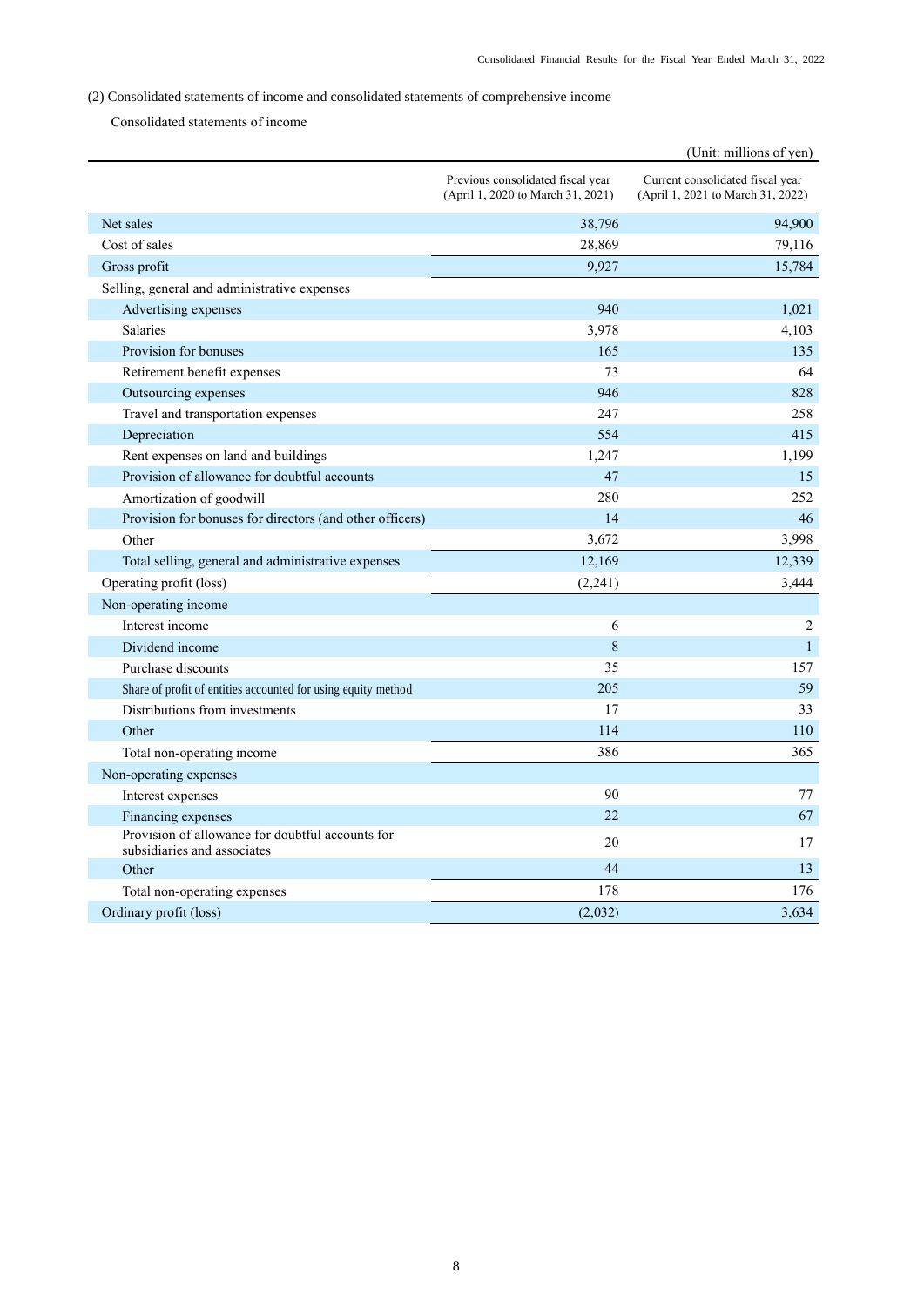# <span id="page-10-0"></span>(2) Consolidated statements of income and consolidated statements of comprehensive income

Consolidated statements of income

|                                                                                 |                                                                        | (Unit: millions of yen)                                               |
|---------------------------------------------------------------------------------|------------------------------------------------------------------------|-----------------------------------------------------------------------|
|                                                                                 | Previous consolidated fiscal year<br>(April 1, 2020 to March 31, 2021) | Current consolidated fiscal year<br>(April 1, 2021 to March 31, 2022) |
| Net sales                                                                       | 38,796                                                                 | 94,900                                                                |
| Cost of sales                                                                   | 28,869                                                                 | 79,116                                                                |
| Gross profit                                                                    | 9,927                                                                  | 15,784                                                                |
| Selling, general and administrative expenses                                    |                                                                        |                                                                       |
| Advertising expenses                                                            | 940                                                                    | 1,021                                                                 |
| Salaries                                                                        | 3,978                                                                  | 4,103                                                                 |
| Provision for bonuses                                                           | 165                                                                    | 135                                                                   |
| Retirement benefit expenses                                                     | 73                                                                     | 64                                                                    |
| Outsourcing expenses                                                            | 946                                                                    | 828                                                                   |
| Travel and transportation expenses                                              | 247                                                                    | 258                                                                   |
| Depreciation                                                                    | 554                                                                    | 415                                                                   |
| Rent expenses on land and buildings                                             | 1,247                                                                  | 1,199                                                                 |
| Provision of allowance for doubtful accounts                                    | 47                                                                     | 15                                                                    |
| Amortization of goodwill                                                        | 280                                                                    | 252                                                                   |
| Provision for bonuses for directors (and other officers)                        | 14                                                                     | 46                                                                    |
| Other                                                                           | 3,672                                                                  | 3,998                                                                 |
| Total selling, general and administrative expenses                              | 12,169                                                                 | 12,339                                                                |
| Operating profit (loss)                                                         | (2,241)                                                                | 3,444                                                                 |
| Non-operating income                                                            |                                                                        |                                                                       |
| Interest income                                                                 | 6                                                                      | 2                                                                     |
| Dividend income                                                                 | 8                                                                      | $\mathbf{1}$                                                          |
| Purchase discounts                                                              | 35                                                                     | 157                                                                   |
| Share of profit of entities accounted for using equity method                   | 205                                                                    | 59                                                                    |
| Distributions from investments                                                  | 17                                                                     | 33                                                                    |
| Other                                                                           | 114                                                                    | 110                                                                   |
| Total non-operating income                                                      | 386                                                                    | 365                                                                   |
| Non-operating expenses                                                          |                                                                        |                                                                       |
| Interest expenses                                                               | 90                                                                     | 77                                                                    |
| Financing expenses                                                              | 22                                                                     | 67                                                                    |
| Provision of allowance for doubtful accounts for<br>subsidiaries and associates | 20                                                                     | 17                                                                    |
| Other                                                                           | 44                                                                     | 13                                                                    |
| Total non-operating expenses                                                    | 178                                                                    | 176                                                                   |
| Ordinary profit (loss)                                                          | (2,032)                                                                | 3,634                                                                 |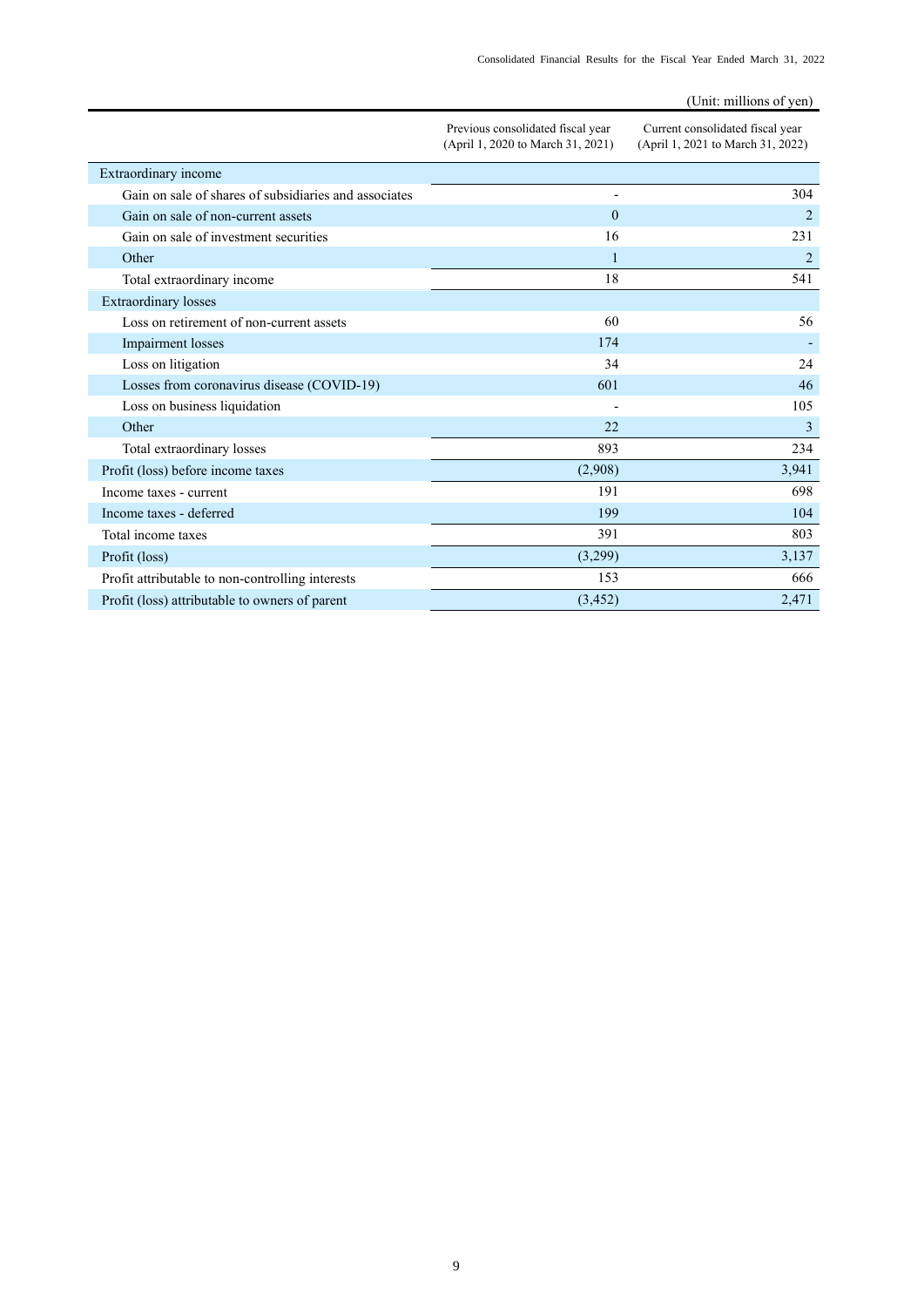|                                                       |                                                                        | (Unit: millions of yen)                                               |
|-------------------------------------------------------|------------------------------------------------------------------------|-----------------------------------------------------------------------|
|                                                       | Previous consolidated fiscal year<br>(April 1, 2020 to March 31, 2021) | Current consolidated fiscal year<br>(April 1, 2021 to March 31, 2022) |
| Extraordinary income                                  |                                                                        |                                                                       |
| Gain on sale of shares of subsidiaries and associates | $\overline{a}$                                                         | 304                                                                   |
| Gain on sale of non-current assets                    | $\theta$                                                               | $\overline{2}$                                                        |
| Gain on sale of investment securities                 | 16                                                                     | 231                                                                   |
| Other                                                 | $\mathbf{1}$                                                           | $\overline{2}$                                                        |
| Total extraordinary income                            | 18                                                                     | 541                                                                   |
| <b>Extraordinary losses</b>                           |                                                                        |                                                                       |
| Loss on retirement of non-current assets              | 60                                                                     | 56                                                                    |
| Impairment losses                                     | 174                                                                    |                                                                       |
| Loss on litigation                                    | 34                                                                     | 24                                                                    |
| Losses from coronavirus disease (COVID-19)            | 601                                                                    | 46                                                                    |
| Loss on business liquidation                          |                                                                        | 105                                                                   |
| Other                                                 | 22                                                                     | 3                                                                     |
| Total extraordinary losses                            | 893                                                                    | 234                                                                   |
| Profit (loss) before income taxes                     | (2,908)                                                                | 3,941                                                                 |
| Income taxes - current                                | 191                                                                    | 698                                                                   |
| Income taxes - deferred                               | 199                                                                    | 104                                                                   |
| Total income taxes                                    | 391                                                                    | 803                                                                   |
| Profit (loss)                                         | (3,299)                                                                | 3,137                                                                 |
| Profit attributable to non-controlling interests      | 153                                                                    | 666                                                                   |
| Profit (loss) attributable to owners of parent        | (3, 452)                                                               | 2,471                                                                 |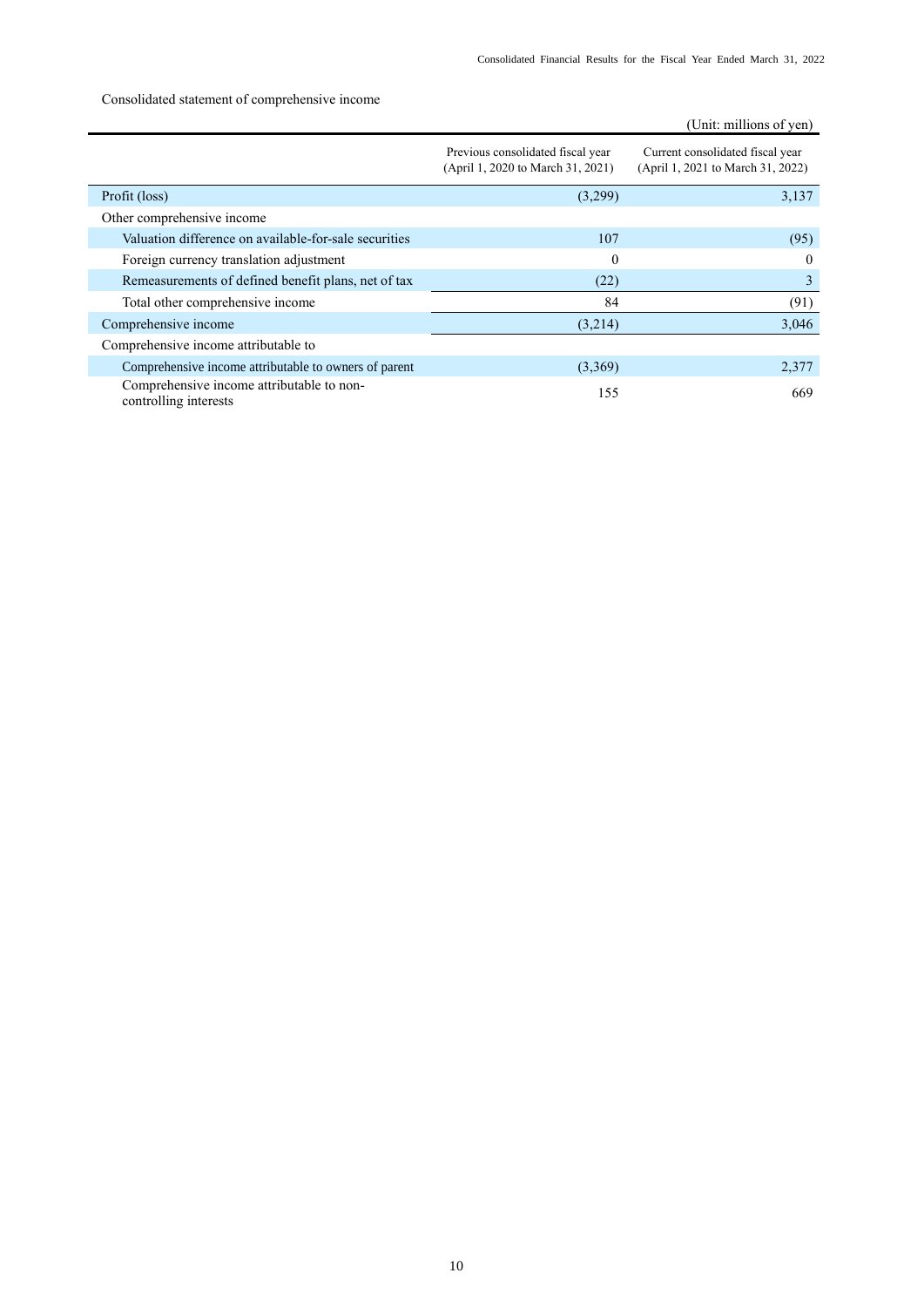# Consolidated statement of comprehensive income

|                                                                    |                                                                        | (Unit: millions of yen)                                               |
|--------------------------------------------------------------------|------------------------------------------------------------------------|-----------------------------------------------------------------------|
|                                                                    | Previous consolidated fiscal year<br>(April 1, 2020 to March 31, 2021) | Current consolidated fiscal year<br>(April 1, 2021 to March 31, 2022) |
| Profit (loss)                                                      | (3,299)                                                                | 3,137                                                                 |
| Other comprehensive income                                         |                                                                        |                                                                       |
| Valuation difference on available-for-sale securities              | 107                                                                    | (95)                                                                  |
| Foreign currency translation adjustment                            | $\theta$                                                               | $\theta$                                                              |
| Remeasurements of defined benefit plans, net of tax                | (22)                                                                   | 3                                                                     |
| Total other comprehensive income                                   | 84                                                                     | (91)                                                                  |
| Comprehensive income                                               | (3,214)                                                                | 3,046                                                                 |
| Comprehensive income attributable to                               |                                                                        |                                                                       |
| Comprehensive income attributable to owners of parent              | (3,369)                                                                | 2,377                                                                 |
| Comprehensive income attributable to non-<br>controlling interests | 155                                                                    | 669                                                                   |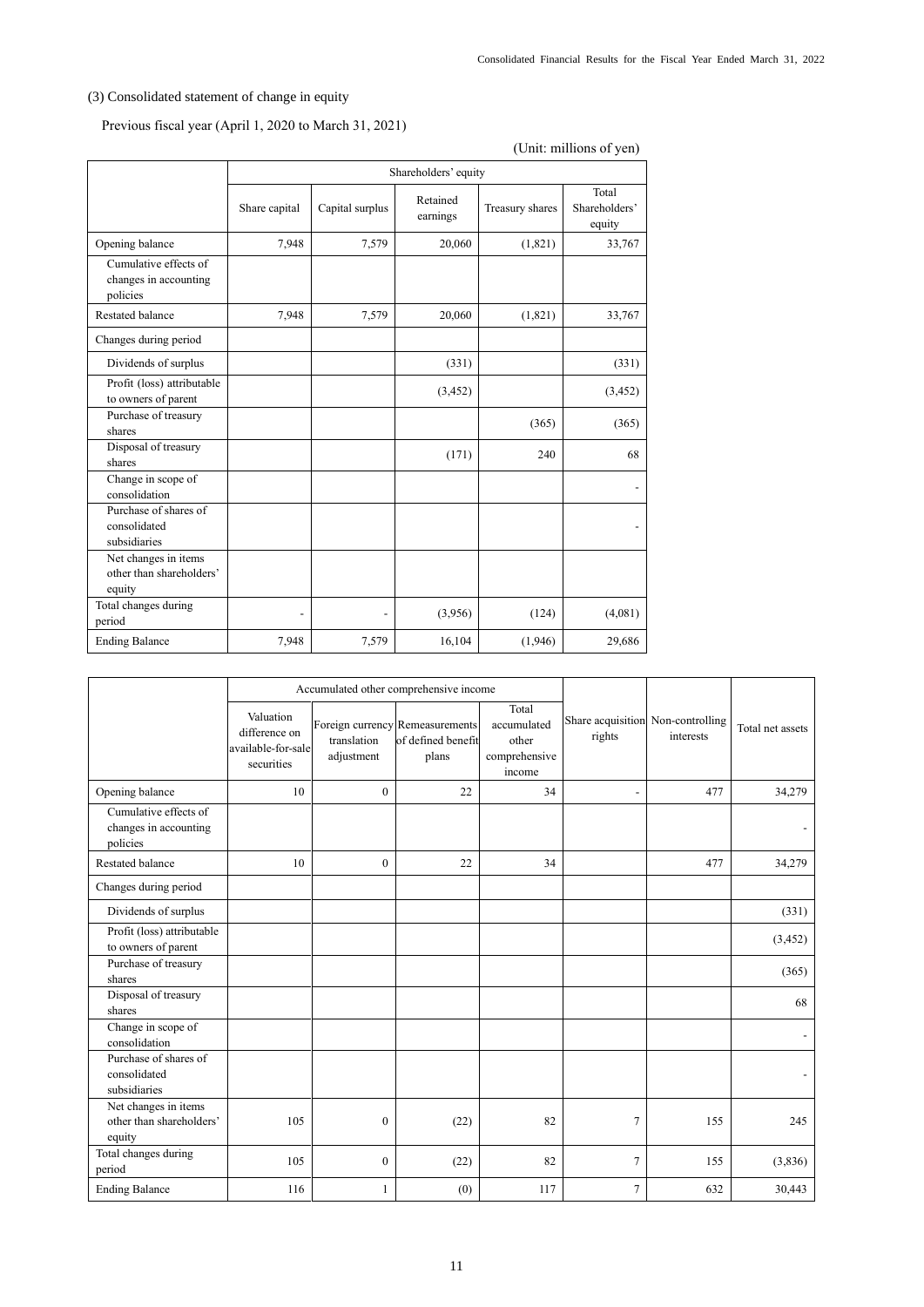# <span id="page-13-0"></span>(3) Consolidated statement of change in equity

# Previous fiscal year (April 1, 2020 to March 31, 2021)

# (Unit: millions of yen)

|                                                            | Shareholders' equity |                 |                      |                 |                                  |
|------------------------------------------------------------|----------------------|-----------------|----------------------|-----------------|----------------------------------|
|                                                            | Share capital        | Capital surplus | Retained<br>earnings | Treasury shares | Total<br>Shareholders'<br>equity |
| Opening balance                                            | 7,948                | 7,579           | 20,060               | (1,821)         | 33,767                           |
| Cumulative effects of<br>changes in accounting<br>policies |                      |                 |                      |                 |                                  |
| Restated balance                                           | 7,948                | 7,579           | 20,060               | (1,821)         | 33,767                           |
| Changes during period                                      |                      |                 |                      |                 |                                  |
| Dividends of surplus                                       |                      |                 | (331)                |                 | (331)                            |
| Profit (loss) attributable<br>to owners of parent          |                      |                 | (3, 452)             |                 | (3, 452)                         |
| Purchase of treasury<br>shares                             |                      |                 |                      | (365)           | (365)                            |
| Disposal of treasury<br>shares                             |                      |                 | (171)                | 240             | 68                               |
| Change in scope of<br>consolidation                        |                      |                 |                      |                 |                                  |
| Purchase of shares of<br>consolidated<br>subsidiaries      |                      |                 |                      |                 |                                  |
| Net changes in items<br>other than shareholders'<br>equity |                      |                 |                      |                 |                                  |
| Total changes during<br>period                             |                      |                 | (3,956)              | (124)           | (4,081)                          |
| <b>Ending Balance</b>                                      | 7,948                | 7,579           | 16,104               | (1,946)         | 29,686                           |

|                                                            | Accumulated other comprehensive income                         |                           |                                                                |                                                          |                                             |           |                  |
|------------------------------------------------------------|----------------------------------------------------------------|---------------------------|----------------------------------------------------------------|----------------------------------------------------------|---------------------------------------------|-----------|------------------|
|                                                            | Valuation<br>difference on<br>available-for-sale<br>securities | translation<br>adjustment | Foreign currency Remeasurements<br>of defined benefit<br>plans | Total<br>accumulated<br>other<br>comprehensive<br>income | Share acquisition Non-controlling<br>rights | interests | Total net assets |
| Opening balance                                            | 10                                                             | $\mathbf{0}$              | 22                                                             | 34                                                       | $\overline{\phantom{a}}$                    | 477       | 34,279           |
| Cumulative effects of<br>changes in accounting<br>policies |                                                                |                           |                                                                |                                                          |                                             |           |                  |
| Restated balance                                           | 10                                                             | $\overline{0}$            | 22                                                             | 34                                                       |                                             | 477       | 34,279           |
| Changes during period                                      |                                                                |                           |                                                                |                                                          |                                             |           |                  |
| Dividends of surplus                                       |                                                                |                           |                                                                |                                                          |                                             |           | (331)            |
| Profit (loss) attributable<br>to owners of parent          |                                                                |                           |                                                                |                                                          |                                             |           | (3, 452)         |
| Purchase of treasury<br>shares                             |                                                                |                           |                                                                |                                                          |                                             |           | (365)            |
| Disposal of treasury<br>shares                             |                                                                |                           |                                                                |                                                          |                                             |           | 68               |
| Change in scope of<br>consolidation                        |                                                                |                           |                                                                |                                                          |                                             |           |                  |
| Purchase of shares of<br>consolidated<br>subsidiaries      |                                                                |                           |                                                                |                                                          |                                             |           |                  |
| Net changes in items<br>other than shareholders'<br>equity | 105                                                            | $\mathbf{0}$              | (22)                                                           | 82                                                       | $\tau$                                      | 155       | 245              |
| Total changes during<br>period                             | 105                                                            | $\boldsymbol{0}$          | (22)                                                           | 82                                                       | $\overline{7}$                              | 155       | (3,836)          |
| <b>Ending Balance</b>                                      | 116                                                            | 1                         | (0)                                                            | 117                                                      | $\overline{7}$                              | 632       | 30,443           |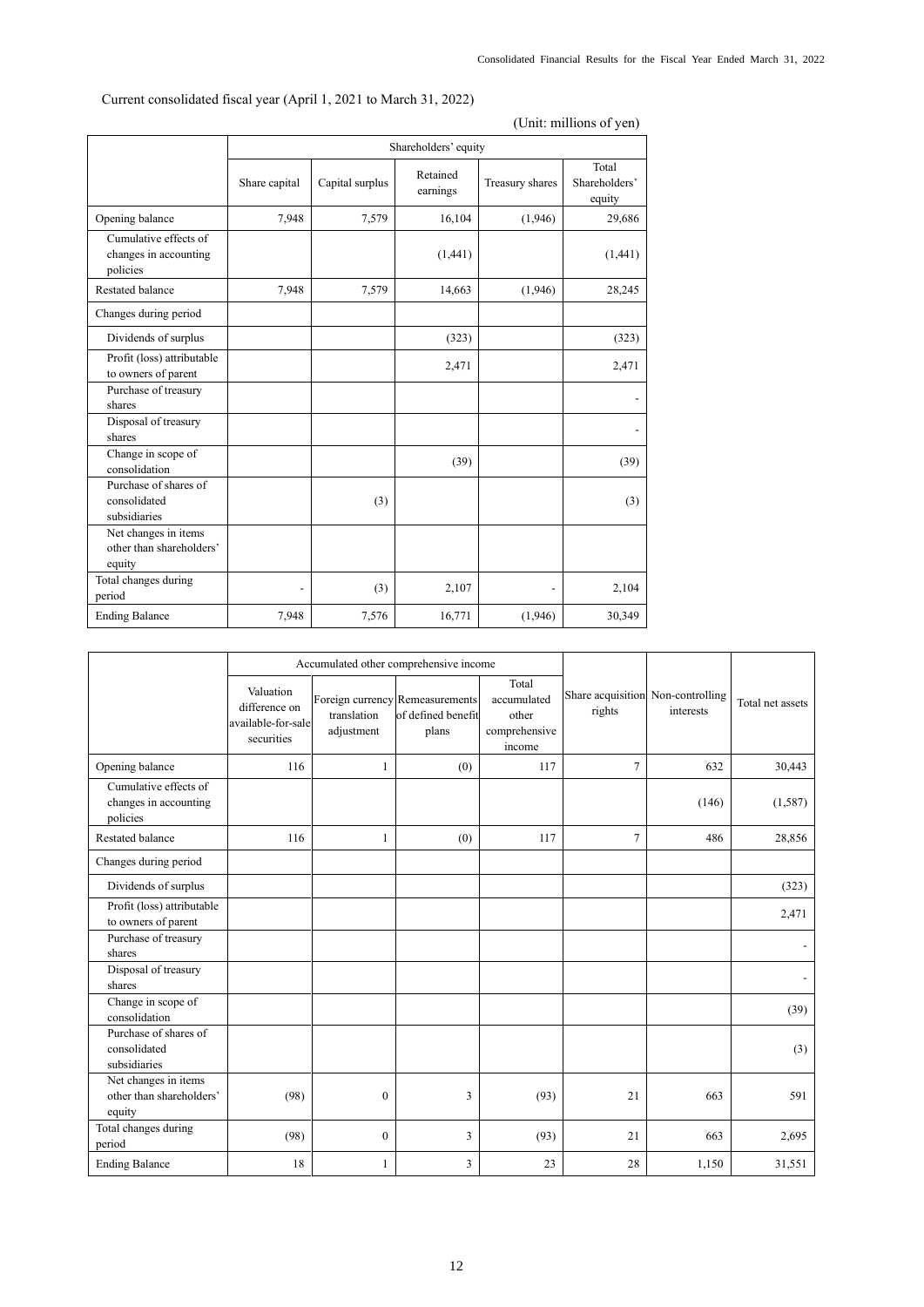| (Unit: millions of yen)                                    |                          |                      |                      |                 |                                  |  |
|------------------------------------------------------------|--------------------------|----------------------|----------------------|-----------------|----------------------------------|--|
|                                                            |                          | Shareholders' equity |                      |                 |                                  |  |
|                                                            | Share capital            | Capital surplus      | Retained<br>earnings | Treasury shares | Total<br>Shareholders'<br>equity |  |
| Opening balance                                            | 7,948                    | 7,579                | 16,104               | (1,946)         | 29,686                           |  |
| Cumulative effects of<br>changes in accounting<br>policies |                          |                      | (1,441)              |                 | (1,441)                          |  |
| <b>Restated balance</b>                                    | 7,948                    | 7,579                | 14,663               | (1,946)         | 28,245                           |  |
| Changes during period                                      |                          |                      |                      |                 |                                  |  |
| Dividends of surplus                                       |                          |                      | (323)                |                 | (323)                            |  |
| Profit (loss) attributable<br>to owners of parent          |                          |                      | 2,471                |                 | 2,471                            |  |
| Purchase of treasury<br>shares                             |                          |                      |                      |                 |                                  |  |
| Disposal of treasury<br>shares                             |                          |                      |                      |                 |                                  |  |
| Change in scope of<br>consolidation                        |                          |                      | (39)                 |                 | (39)                             |  |
| Purchase of shares of<br>consolidated<br>subsidiaries      |                          | (3)                  |                      |                 | (3)                              |  |
| Net changes in items<br>other than shareholders'<br>equity |                          |                      |                      |                 |                                  |  |
| Total changes during<br>period                             | $\overline{\phantom{a}}$ | (3)                  | 2,107                |                 | 2,104                            |  |
| <b>Ending Balance</b>                                      | 7,948                    | 7,576                | 16,771               | (1,946)         | 30,349                           |  |

# Current consolidated fiscal year (April 1, 2021 to March 31, 2022)

|                                                            | Accumulated other comprehensive income                         |                           |                                                                |                                                          |                |                                                |                  |
|------------------------------------------------------------|----------------------------------------------------------------|---------------------------|----------------------------------------------------------------|----------------------------------------------------------|----------------|------------------------------------------------|------------------|
|                                                            | Valuation<br>difference on<br>available-for-sale<br>securities | translation<br>adjustment | Foreign currency Remeasurements<br>of defined benefit<br>plans | Total<br>accumulated<br>other<br>comprehensive<br>income | rights         | Share acquisition Non-controlling<br>interests | Total net assets |
| Opening balance                                            | 116                                                            | $\mathbf{1}$              | (0)                                                            | 117                                                      | $\overline{7}$ | 632                                            | 30,443           |
| Cumulative effects of<br>changes in accounting<br>policies |                                                                |                           |                                                                |                                                          |                | (146)                                          | (1,587)          |
| Restated balance                                           | 116                                                            | $\mathbf{1}$              | (0)                                                            | 117                                                      | $\overline{7}$ | 486                                            | 28,856           |
| Changes during period                                      |                                                                |                           |                                                                |                                                          |                |                                                |                  |
| Dividends of surplus                                       |                                                                |                           |                                                                |                                                          |                |                                                | (323)            |
| Profit (loss) attributable<br>to owners of parent          |                                                                |                           |                                                                |                                                          |                |                                                | 2,471            |
| Purchase of treasury<br>shares                             |                                                                |                           |                                                                |                                                          |                |                                                |                  |
| Disposal of treasury<br>shares                             |                                                                |                           |                                                                |                                                          |                |                                                |                  |
| Change in scope of<br>consolidation                        |                                                                |                           |                                                                |                                                          |                |                                                | (39)             |
| Purchase of shares of<br>consolidated<br>subsidiaries      |                                                                |                           |                                                                |                                                          |                |                                                | (3)              |
| Net changes in items<br>other than shareholders'<br>equity | (98)                                                           | $\mathbf{0}$              | $\overline{\mathbf{3}}$                                        | (93)                                                     | 21             | 663                                            | 591              |
| Total changes during<br>period                             | (98)                                                           | $\mathbf{0}$              | 3                                                              | (93)                                                     | 21             | 663                                            | 2,695            |
| <b>Ending Balance</b>                                      | 18                                                             | $\mathbf{1}$              | 3                                                              | 23                                                       | 28             | 1,150                                          | 31,551           |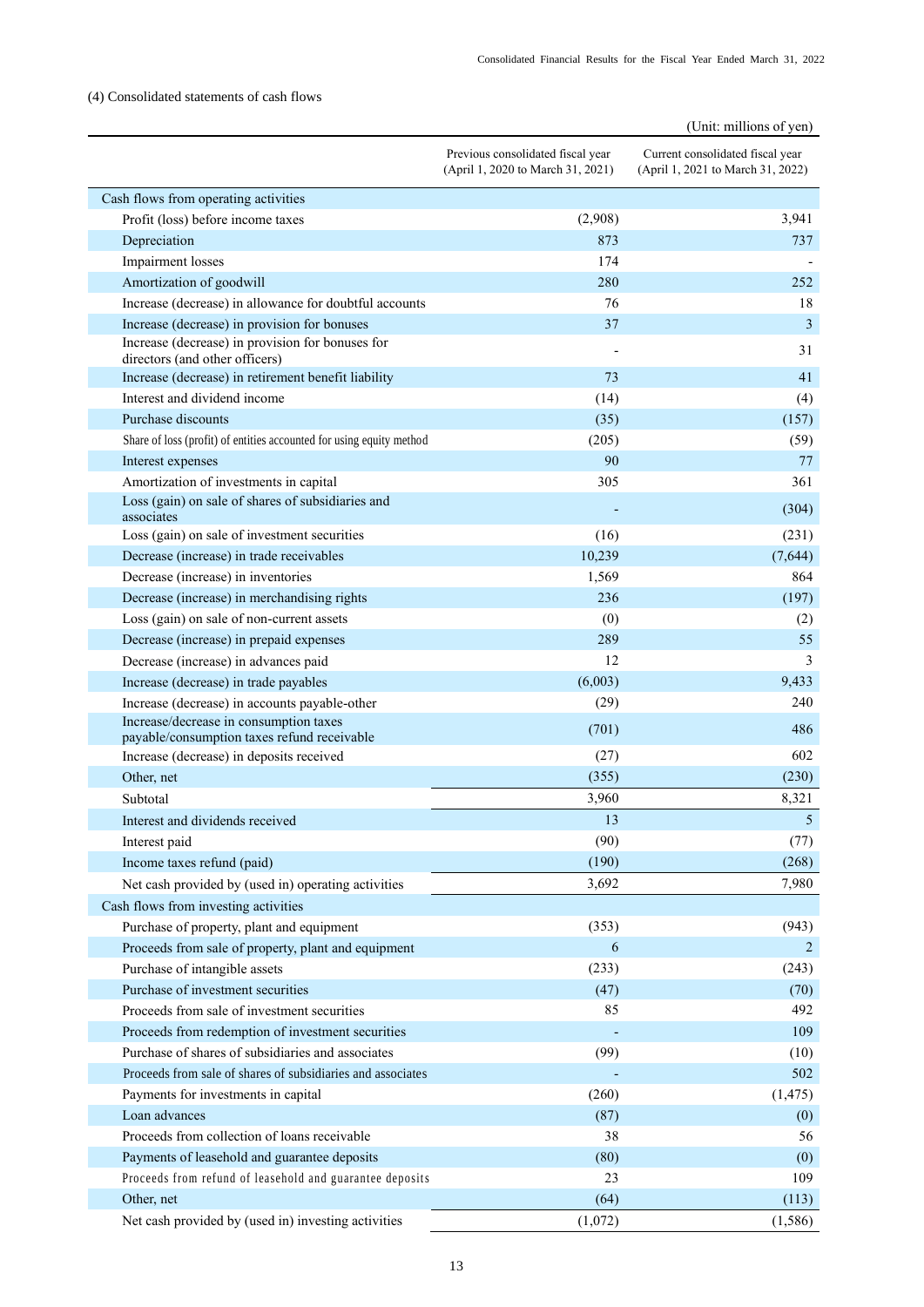# <span id="page-15-0"></span>(4) Consolidated statements of cash flows

|                                                                                       | (Unit: millions of yen)                                                |                                                                       |
|---------------------------------------------------------------------------------------|------------------------------------------------------------------------|-----------------------------------------------------------------------|
|                                                                                       | Previous consolidated fiscal year<br>(April 1, 2020 to March 31, 2021) | Current consolidated fiscal year<br>(April 1, 2021 to March 31, 2022) |
| Cash flows from operating activities                                                  |                                                                        |                                                                       |
| Profit (loss) before income taxes                                                     | (2,908)                                                                | 3,941                                                                 |
| Depreciation                                                                          | 873                                                                    | 737                                                                   |
| Impairment losses                                                                     | 174                                                                    |                                                                       |
| Amortization of goodwill                                                              | 280                                                                    | 252                                                                   |
| Increase (decrease) in allowance for doubtful accounts                                | 76                                                                     | 18                                                                    |
| Increase (decrease) in provision for bonuses                                          | 37                                                                     | 3                                                                     |
| Increase (decrease) in provision for bonuses for<br>directors (and other officers)    |                                                                        | 31                                                                    |
| Increase (decrease) in retirement benefit liability                                   | 73                                                                     | 41                                                                    |
| Interest and dividend income                                                          | (14)                                                                   | (4)                                                                   |
| Purchase discounts                                                                    | (35)                                                                   | (157)                                                                 |
| Share of loss (profit) of entities accounted for using equity method                  | (205)                                                                  | (59)                                                                  |
| Interest expenses                                                                     | 90                                                                     | 77                                                                    |
| Amortization of investments in capital                                                | 305                                                                    | 361                                                                   |
| Loss (gain) on sale of shares of subsidiaries and<br>associates                       |                                                                        | (304)                                                                 |
| Loss (gain) on sale of investment securities                                          | (16)                                                                   | (231)                                                                 |
| Decrease (increase) in trade receivables                                              | 10,239                                                                 | (7,644)                                                               |
| Decrease (increase) in inventories                                                    | 1,569                                                                  | 864                                                                   |
| Decrease (increase) in merchandising rights                                           | 236                                                                    | (197)                                                                 |
| Loss (gain) on sale of non-current assets                                             | (0)                                                                    | (2)                                                                   |
| Decrease (increase) in prepaid expenses                                               | 289                                                                    | 55                                                                    |
| Decrease (increase) in advances paid                                                  | 12                                                                     | 3                                                                     |
| Increase (decrease) in trade payables                                                 | (6,003)                                                                | 9,433                                                                 |
| Increase (decrease) in accounts payable-other                                         | (29)                                                                   | 240                                                                   |
| Increase/decrease in consumption taxes<br>payable/consumption taxes refund receivable | (701)                                                                  | 486                                                                   |
| Increase (decrease) in deposits received                                              | (27)                                                                   | 602                                                                   |
| Other, net                                                                            | (355)                                                                  | (230)                                                                 |
| Subtotal                                                                              | 3,960                                                                  | 8,321                                                                 |
| Interest and dividends received                                                       | 13                                                                     | 5 <sub>5</sub>                                                        |
| Interest paid                                                                         | (90)                                                                   | (77)                                                                  |
| Income taxes refund (paid)                                                            | (190)                                                                  | (268)                                                                 |
| Net cash provided by (used in) operating activities                                   | 3,692                                                                  | 7,980                                                                 |
| Cash flows from investing activities                                                  |                                                                        |                                                                       |
| Purchase of property, plant and equipment                                             | (353)                                                                  | (943)                                                                 |
| Proceeds from sale of property, plant and equipment                                   | 6                                                                      | 2                                                                     |
| Purchase of intangible assets                                                         | (233)                                                                  | (243)                                                                 |
| Purchase of investment securities                                                     | (47)                                                                   | (70)                                                                  |
| Proceeds from sale of investment securities                                           | 85                                                                     | 492                                                                   |
| Proceeds from redemption of investment securities                                     |                                                                        | 109                                                                   |
| Purchase of shares of subsidiaries and associates                                     | (99)                                                                   | (10)                                                                  |
| Proceeds from sale of shares of subsidiaries and associates                           |                                                                        | 502                                                                   |
| Payments for investments in capital                                                   | (260)                                                                  | (1, 475)                                                              |
| Loan advances                                                                         | (87)                                                                   | (0)                                                                   |
| Proceeds from collection of loans receivable                                          | 38                                                                     | 56                                                                    |
| Payments of leasehold and guarantee deposits                                          | (80)                                                                   | (0)                                                                   |
| Proceeds from refund of leasehold and guarantee deposits                              | 23                                                                     | 109                                                                   |
| Other, net                                                                            | (64)                                                                   | (113)                                                                 |
| Net cash provided by (used in) investing activities                                   | (1,072)                                                                | (1, 586)                                                              |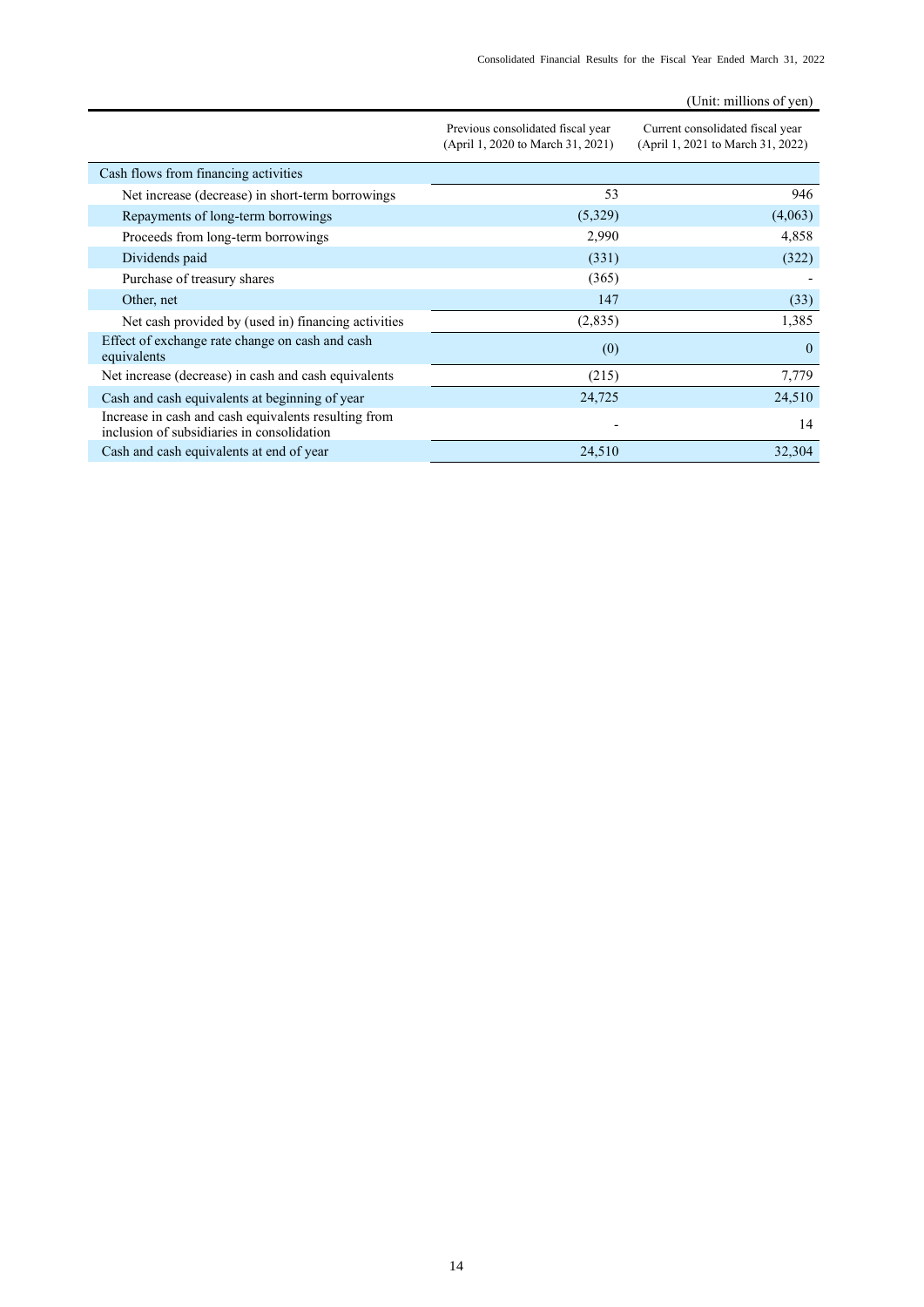|                                                                                                    |                                                                        | (Unit: millions of yen)                                               |
|----------------------------------------------------------------------------------------------------|------------------------------------------------------------------------|-----------------------------------------------------------------------|
|                                                                                                    | Previous consolidated fiscal year<br>(April 1, 2020 to March 31, 2021) | Current consolidated fiscal year<br>(April 1, 2021 to March 31, 2022) |
| Cash flows from financing activities                                                               |                                                                        |                                                                       |
| Net increase (decrease) in short-term borrowings                                                   | 53                                                                     | 946                                                                   |
| Repayments of long-term borrowings                                                                 | (5,329)                                                                | (4,063)                                                               |
| Proceeds from long-term borrowings                                                                 | 2,990                                                                  | 4,858                                                                 |
| Dividends paid                                                                                     | (331)                                                                  | (322)                                                                 |
| Purchase of treasury shares                                                                        | (365)                                                                  |                                                                       |
| Other, net                                                                                         | 147                                                                    | (33)                                                                  |
| Net cash provided by (used in) financing activities                                                | (2,835)                                                                | 1,385                                                                 |
| Effect of exchange rate change on cash and cash<br>equivalents                                     | (0)                                                                    | $\theta$                                                              |
| Net increase (decrease) in cash and cash equivalents                                               | (215)                                                                  | 7,779                                                                 |
| Cash and cash equivalents at beginning of year                                                     | 24,725                                                                 | 24,510                                                                |
| Increase in cash and cash equivalents resulting from<br>inclusion of subsidiaries in consolidation |                                                                        | 14                                                                    |
| Cash and cash equivalents at end of year                                                           | 24,510                                                                 | 32,304                                                                |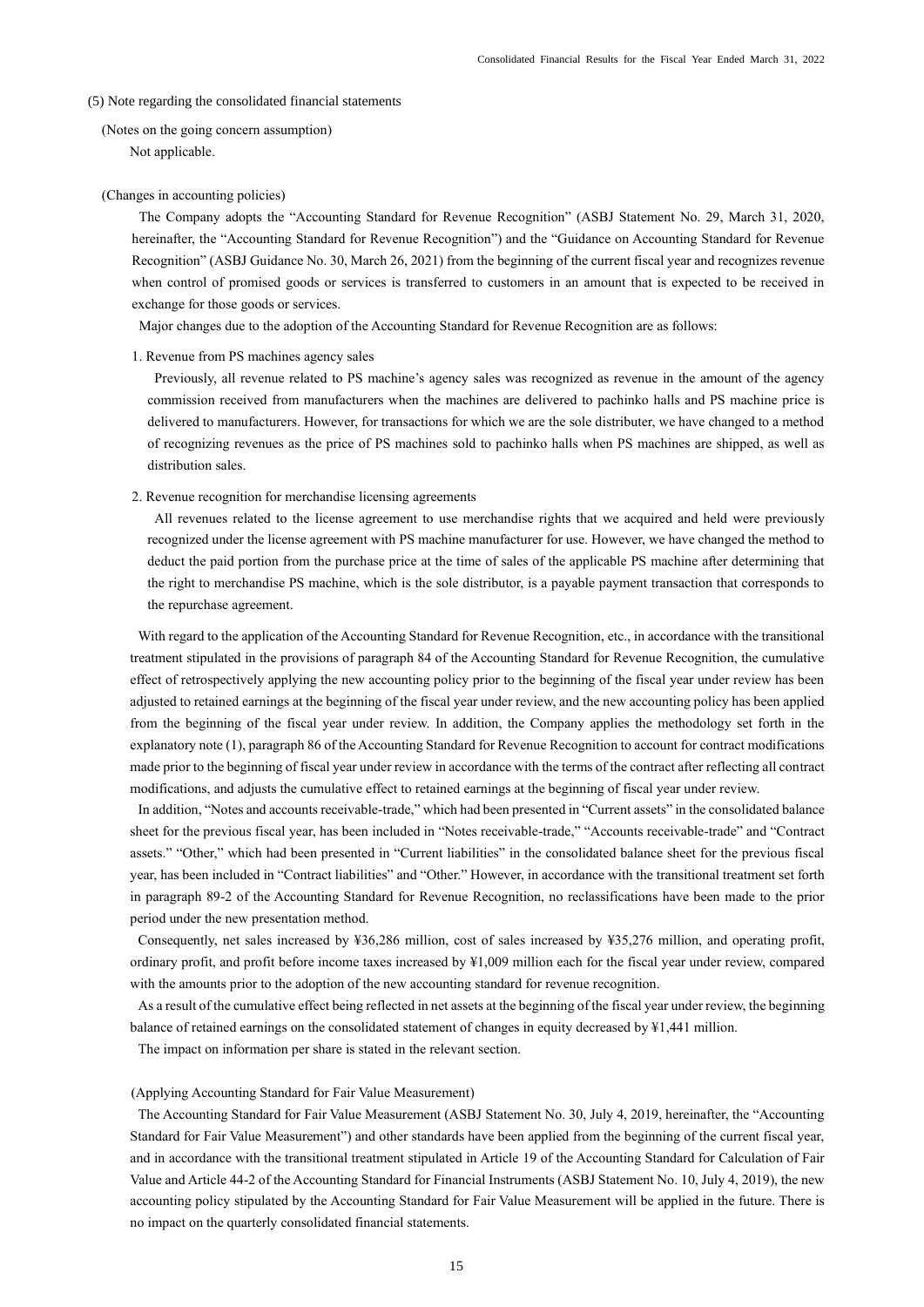#### <span id="page-17-0"></span>(5) Note regarding the consolidated financial statements

<span id="page-17-1"></span>(Notes on the going concern assumption) Not applicable.

#### (Changes in accounting policies)

The Company adopts the "Accounting Standard for Revenue Recognition" (ASBJ Statement No. 29, March 31, 2020, hereinafter, the "Accounting Standard for Revenue Recognition") and the "Guidance on Accounting Standard for Revenue Recognition" (ASBJ Guidance No. 30, March 26, 2021) from the beginning of the current fiscal year and recognizes revenue when control of promised goods or services is transferred to customers in an amount that is expected to be received in exchange for those goods or services.

Major changes due to the adoption of the Accounting Standard for Revenue Recognition are as follows:

#### 1. Revenue from PS machines agency sales

Previously, all revenue related to PS machine's agency sales was recognized as revenue in the amount of the agency commission received from manufacturers when the machines are delivered to pachinko halls and PS machine price is delivered to manufacturers. However, for transactions for which we are the sole distributer, we have changed to a method of recognizing revenues as the price of PS machines sold to pachinko halls when PS machines are shipped, as well as distribution sales.

#### 2. Revenue recognition for merchandise licensing agreements

All revenues related to the license agreement to use merchandise rights that we acquired and held were previously recognized under the license agreement with PS machine manufacturer for use. However, we have changed the method to deduct the paid portion from the purchase price at the time of sales of the applicable PS machine after determining that the right to merchandise PS machine, which is the sole distributor, is a payable payment transaction that corresponds to the repurchase agreement.

With regard to the application of the Accounting Standard for Revenue Recognition, etc., in accordance with the transitional treatment stipulated in the provisions of paragraph 84 of the Accounting Standard for Revenue Recognition, the cumulative effect of retrospectively applying the new accounting policy prior to the beginning of the fiscal year under review has been adjusted to retained earnings at the beginning of the fiscal year under review, and the new accounting policy has been applied from the beginning of the fiscal year under review. In addition, the Company applies the methodology set forth in the explanatory note (1), paragraph 86 of the Accounting Standard for Revenue Recognition to account for contract modifications made prior to the beginning of fiscal year under review in accordance with the terms of the contract after reflecting all contract modifications, and adjusts the cumulative effect to retained earnings at the beginning of fiscal year under review.

In addition, "Notes and accounts receivable-trade," which had been presented in "Current assets" in the consolidated balance sheet for the previous fiscal year, has been included in "Notes receivable-trade," "Accounts receivable-trade" and "Contract assets." "Other," which had been presented in "Current liabilities" in the consolidated balance sheet for the previous fiscal year, has been included in "Contract liabilities" and "Other." However, in accordance with the transitional treatment set forth in paragraph 89-2 of the Accounting Standard for Revenue Recognition, no reclassifications have been made to the prior period under the new presentation method.

Consequently, net sales increased by ¥36,286 million, cost of sales increased by ¥35,276 million, and operating profit, ordinary profit, and profit before income taxes increased by ¥1,009 million each for the fiscal year under review, compared with the amounts prior to the adoption of the new accounting standard for revenue recognition.

As a result of the cumulative effect being reflected in net assets at the beginning of the fiscal year under review, the beginning balance of retained earnings on the consolidated statement of changes in equity decreased by ¥1,441 million.

The impact on information per share is stated in the relevant section.

## (Applying Accounting Standard for Fair Value Measurement)

The Accounting Standard for Fair Value Measurement (ASBJ Statement No. 30, July 4, 2019, hereinafter, the "Accounting Standard for Fair Value Measurement") and other standards have been applied from the beginning of the current fiscal year, and in accordance with the transitional treatment stipulated in Article 19 of the Accounting Standard for Calculation of Fair Value and Article 44-2 of the Accounting Standard for Financial Instruments (ASBJ Statement No. 10, July 4, 2019), the new accounting policy stipulated by the Accounting Standard for Fair Value Measurement will be applied in the future. There is no impact on the quarterly consolidated financial statements.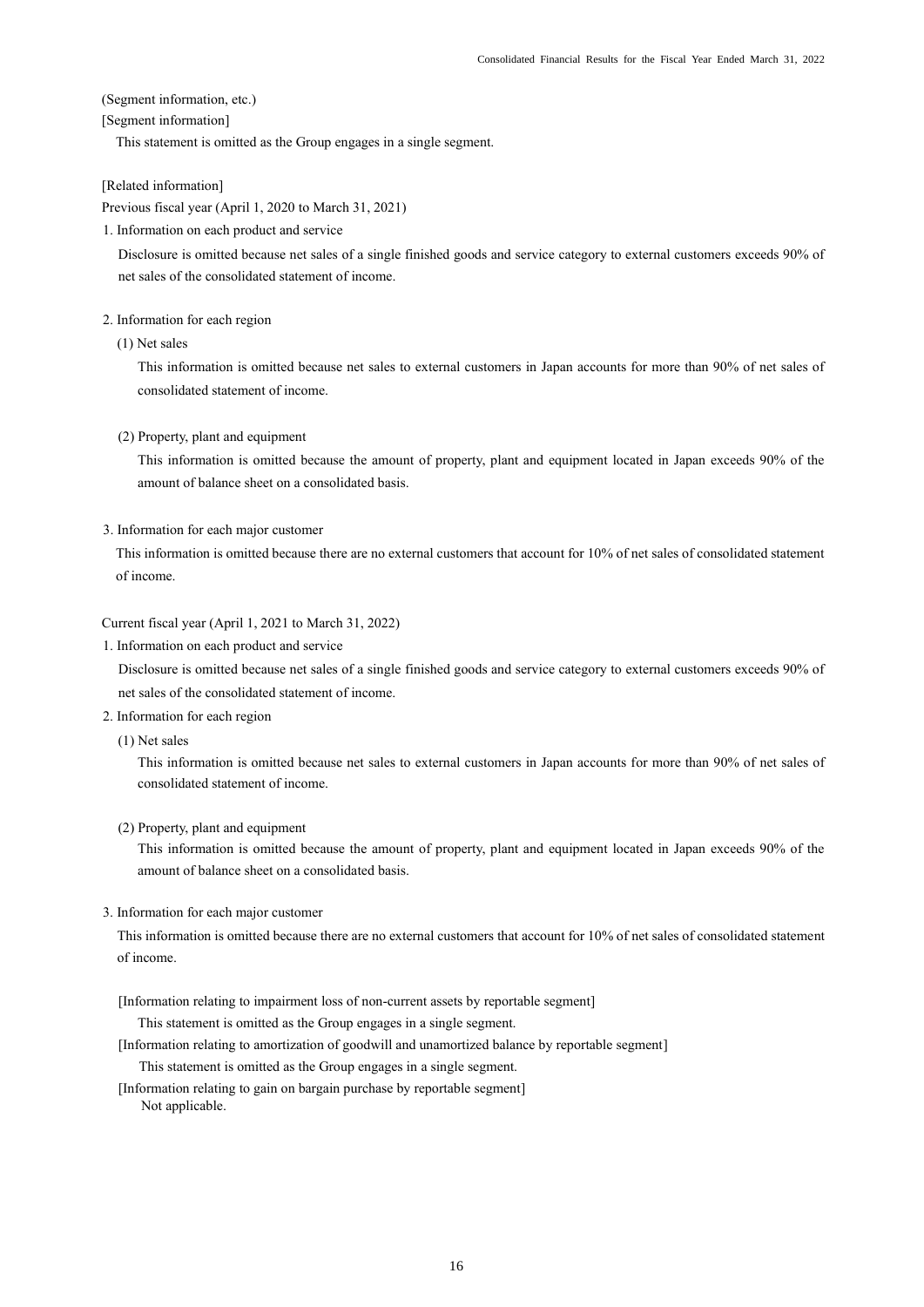<span id="page-18-0"></span>(Segment information, etc.)

## [Segment information]

This statement is omitted as the Group engages in a single segment.

[Related information]

Previous fiscal year (April 1, 2020 to March 31, 2021)

1. Information on each product and service

Disclosure is omitted because net sales of a single finished goods and service category to external customers exceeds 90% of net sales of the consolidated statement of income.

### 2. Information for each region

(1) Net sales

This information is omitted because net sales to external customers in Japan accounts for more than 90% of net sales of consolidated statement of income.

(2) Property, plant and equipment

This information is omitted because the amount of property, plant and equipment located in Japan exceeds 90% of the amount of balance sheet on a consolidated basis.

3. Information for each major customer

This information is omitted because there are no external customers that account for 10% of net sales of consolidated statement of income.

Current fiscal year (April 1, 2021 to March 31, 2022)

1. Information on each product and service

Disclosure is omitted because net sales of a single finished goods and service category to external customers exceeds 90% of net sales of the consolidated statement of income.

- 2. Information for each region
	- (1) Net sales

This information is omitted because net sales to external customers in Japan accounts for more than 90% of net sales of consolidated statement of income.

## (2) Property, plant and equipment

This information is omitted because the amount of property, plant and equipment located in Japan exceeds 90% of the amount of balance sheet on a consolidated basis.

## 3. Information for each major customer

This information is omitted because there are no external customers that account for 10% of net sales of consolidated statement of income.

[Information relating to impairment loss of non-current assets by reportable segment]

This statement is omitted as the Group engages in a single segment.

[Information relating to amortization of goodwill and unamortized balance by reportable segment]

This statement is omitted as the Group engages in a single segment.

[Information relating to gain on bargain purchase by reportable segment] Not applicable.